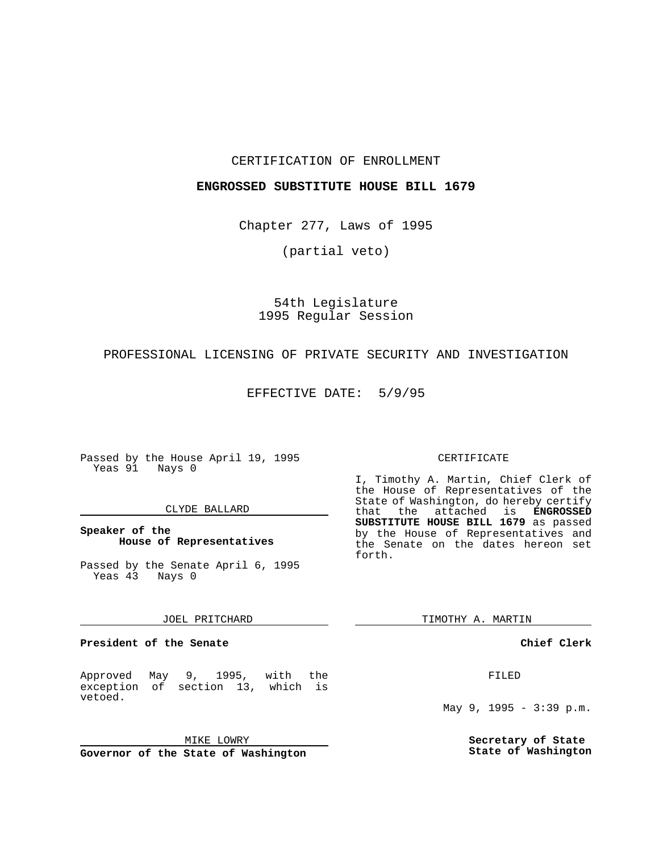## CERTIFICATION OF ENROLLMENT

## **ENGROSSED SUBSTITUTE HOUSE BILL 1679**

Chapter 277, Laws of 1995

(partial veto)

# 54th Legislature 1995 Regular Session

# PROFESSIONAL LICENSING OF PRIVATE SECURITY AND INVESTIGATION

EFFECTIVE DATE: 5/9/95

Passed by the House April 19, 1995 Yeas 91 Nays 0

## CLYDE BALLARD

# **Speaker of the House of Representatives**

Passed by the Senate April 6, 1995 Yeas 43 Nays 0

#### JOEL PRITCHARD

#### **President of the Senate**

Approved May 9, 1995, with the exception of section 13, which is vetoed.

MIKE LOWRY

**Governor of the State of Washington**

#### CERTIFICATE

I, Timothy A. Martin, Chief Clerk of the House of Representatives of the State of Washington, do hereby certify<br>that the attached is **ENGROSSED** the attached is **ENGROSSED SUBSTITUTE HOUSE BILL 1679** as passed by the House of Representatives and the Senate on the dates hereon set forth.

TIMOTHY A. MARTIN

## **Chief Clerk**

FILED

May 9, 1995 - 3:39 p.m.

**Secretary of State State of Washington**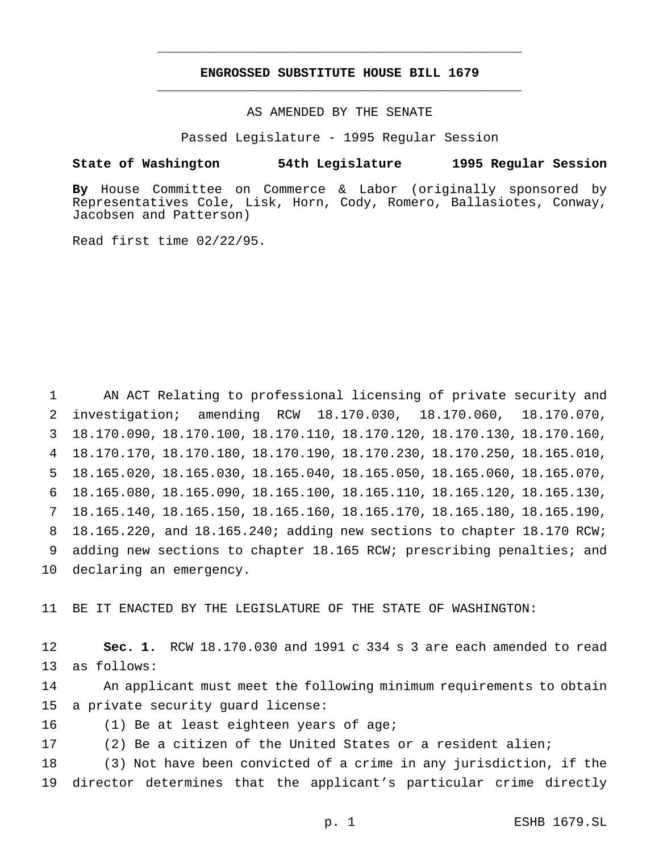# **ENGROSSED SUBSTITUTE HOUSE BILL 1679** \_\_\_\_\_\_\_\_\_\_\_\_\_\_\_\_\_\_\_\_\_\_\_\_\_\_\_\_\_\_\_\_\_\_\_\_\_\_\_\_\_\_\_\_\_\_\_

\_\_\_\_\_\_\_\_\_\_\_\_\_\_\_\_\_\_\_\_\_\_\_\_\_\_\_\_\_\_\_\_\_\_\_\_\_\_\_\_\_\_\_\_\_\_\_

AS AMENDED BY THE SENATE

Passed Legislature - 1995 Regular Session

#### **State of Washington 54th Legislature 1995 Regular Session**

**By** House Committee on Commerce & Labor (originally sponsored by Representatives Cole, Lisk, Horn, Cody, Romero, Ballasiotes, Conway, Jacobsen and Patterson)

Read first time 02/22/95.

 AN ACT Relating to professional licensing of private security and investigation; amending RCW 18.170.030, 18.170.060, 18.170.070, 18.170.090, 18.170.100, 18.170.110, 18.170.120, 18.170.130, 18.170.160, 18.170.170, 18.170.180, 18.170.190, 18.170.230, 18.170.250, 18.165.010, 18.165.020, 18.165.030, 18.165.040, 18.165.050, 18.165.060, 18.165.070, 18.165.080, 18.165.090, 18.165.100, 18.165.110, 18.165.120, 18.165.130, 18.165.140, 18.165.150, 18.165.160, 18.165.170, 18.165.180, 18.165.190, 18.165.220, and 18.165.240; adding new sections to chapter 18.170 RCW; adding new sections to chapter 18.165 RCW; prescribing penalties; and declaring an emergency.

11 BE IT ENACTED BY THE LEGISLATURE OF THE STATE OF WASHINGTON:

12 **Sec. 1.** RCW 18.170.030 and 1991 c 334 s 3 are each amended to read 13 as follows:

14 An applicant must meet the following minimum requirements to obtain 15 a private security guard license:

- 16 (1) Be at least eighteen years of age;
- 17 (2) Be a citizen of the United States or a resident alien;

18 (3) Not have been convicted of a crime in any jurisdiction, if the 19 director determines that the applicant's particular crime directly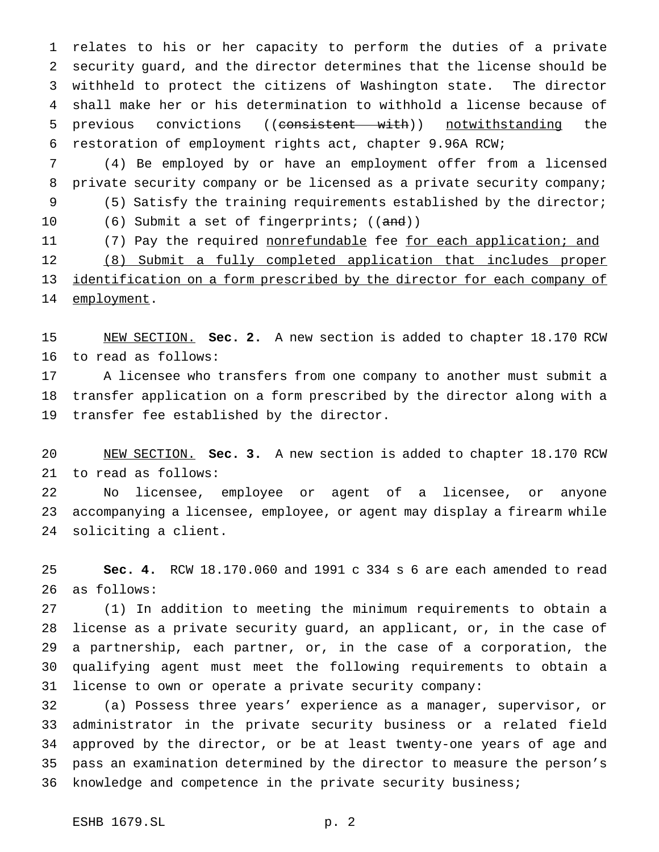relates to his or her capacity to perform the duties of a private security guard, and the director determines that the license should be withheld to protect the citizens of Washington state. The director shall make her or his determination to withhold a license because of 5 previous convictions ((consistent with)) notwithstanding the restoration of employment rights act, chapter 9.96A RCW;

 (4) Be employed by or have an employment offer from a licensed private security company or be licensed as a private security company; (5) Satisfy the training requirements established by the director; 10 (6) Submit a set of fingerprints; ((and)) 11 (7) Pay the required nonrefundable fee for each application; and (8) Submit a fully completed application that includes proper

 identification on a form prescribed by the director for each company of 14 employment.

 NEW SECTION. **Sec. 2.** A new section is added to chapter 18.170 RCW to read as follows:

 A licensee who transfers from one company to another must submit a transfer application on a form prescribed by the director along with a transfer fee established by the director.

 NEW SECTION. **Sec. 3.** A new section is added to chapter 18.170 RCW to read as follows:

 No licensee, employee or agent of a licensee, or anyone accompanying a licensee, employee, or agent may display a firearm while soliciting a client.

 **Sec. 4.** RCW 18.170.060 and 1991 c 334 s 6 are each amended to read as follows:

 (1) In addition to meeting the minimum requirements to obtain a license as a private security guard, an applicant, or, in the case of a partnership, each partner, or, in the case of a corporation, the qualifying agent must meet the following requirements to obtain a license to own or operate a private security company:

 (a) Possess three years' experience as a manager, supervisor, or administrator in the private security business or a related field approved by the director, or be at least twenty-one years of age and pass an examination determined by the director to measure the person's knowledge and competence in the private security business;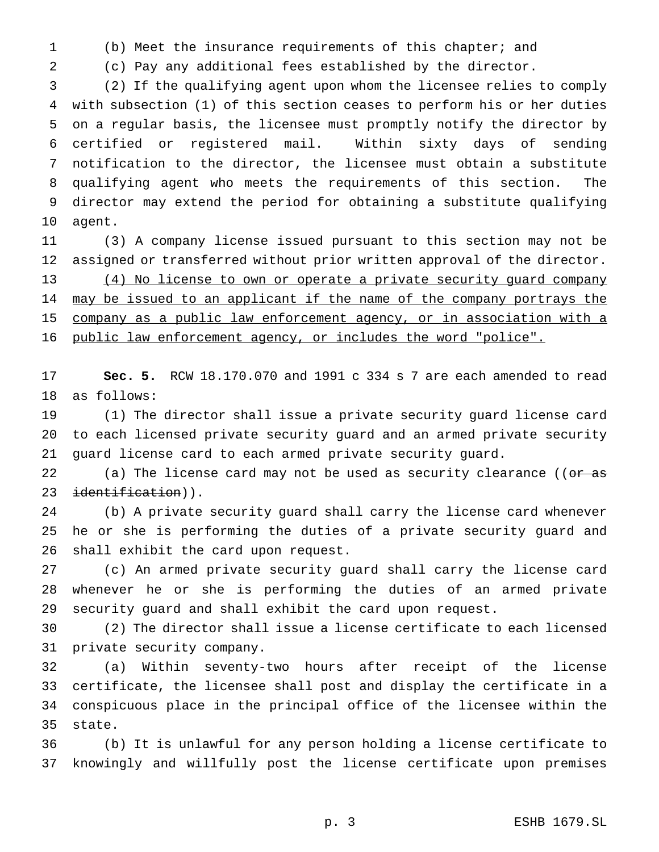(b) Meet the insurance requirements of this chapter; and

(c) Pay any additional fees established by the director.

 (2) If the qualifying agent upon whom the licensee relies to comply with subsection (1) of this section ceases to perform his or her duties on a regular basis, the licensee must promptly notify the director by certified or registered mail. Within sixty days of sending notification to the director, the licensee must obtain a substitute qualifying agent who meets the requirements of this section. The director may extend the period for obtaining a substitute qualifying agent.

 (3) A company license issued pursuant to this section may not be assigned or transferred without prior written approval of the director. 13 (4) No license to own or operate a private security guard company 14 may be issued to an applicant if the name of the company portrays the company as a public law enforcement agency, or in association with a public law enforcement agency, or includes the word "police".

 **Sec. 5.** RCW 18.170.070 and 1991 c 334 s 7 are each amended to read as follows:

 (1) The director shall issue a private security guard license card to each licensed private security guard and an armed private security guard license card to each armed private security guard.

22 (a) The license card may not be used as security clearance (( $\sigma$ r as 23 identification)).

 (b) A private security guard shall carry the license card whenever he or she is performing the duties of a private security guard and shall exhibit the card upon request.

 (c) An armed private security guard shall carry the license card whenever he or she is performing the duties of an armed private security guard and shall exhibit the card upon request.

 (2) The director shall issue a license certificate to each licensed private security company.

 (a) Within seventy-two hours after receipt of the license certificate, the licensee shall post and display the certificate in a conspicuous place in the principal office of the licensee within the state.

 (b) It is unlawful for any person holding a license certificate to knowingly and willfully post the license certificate upon premises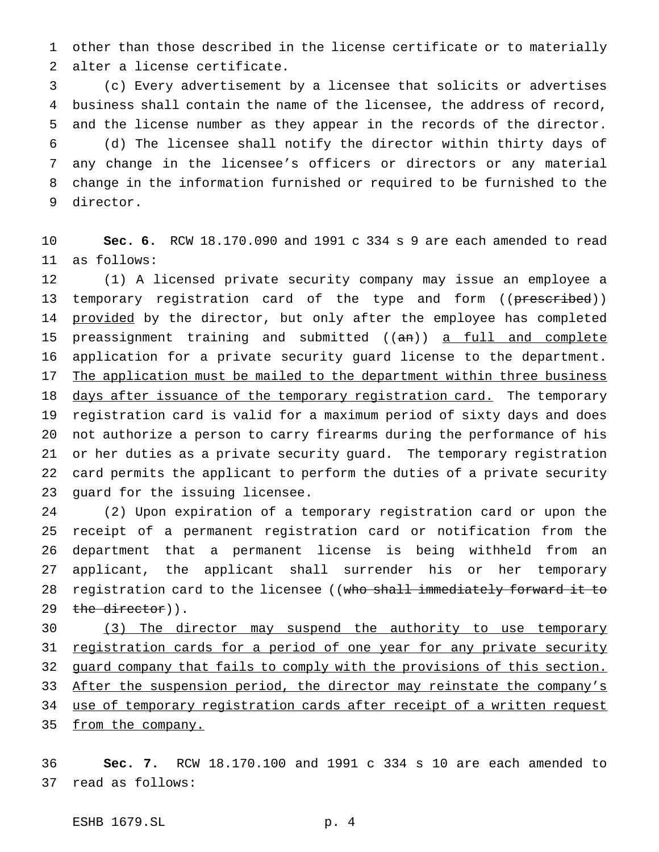other than those described in the license certificate or to materially alter a license certificate.

 (c) Every advertisement by a licensee that solicits or advertises business shall contain the name of the licensee, the address of record, and the license number as they appear in the records of the director. (d) The licensee shall notify the director within thirty days of any change in the licensee's officers or directors or any material change in the information furnished or required to be furnished to the director.

 **Sec. 6.** RCW 18.170.090 and 1991 c 334 s 9 are each amended to read as follows:

 (1) A licensed private security company may issue an employee a 13 temporary registration card of the type and form ((prescribed)) 14 provided by the director, but only after the employee has completed 15 preassignment training and submitted ((an)) a full and complete application for a private security guard license to the department. 17 The application must be mailed to the department within three business 18 days after issuance of the temporary registration card. The temporary registration card is valid for a maximum period of sixty days and does not authorize a person to carry firearms during the performance of his or her duties as a private security guard. The temporary registration card permits the applicant to perform the duties of a private security guard for the issuing licensee.

 (2) Upon expiration of a temporary registration card or upon the receipt of a permanent registration card or notification from the department that a permanent license is being withheld from an applicant, the applicant shall surrender his or her temporary 28 registration card to the licensee ((who shall immediately forward it to 29 the director)).

 (3) The director may suspend the authority to use temporary 31 registration cards for a period of one year for any private security 32 guard company that fails to comply with the provisions of this section. 33 After the suspension period, the director may reinstate the company's use of temporary registration cards after receipt of a written request 35 from the company.

 **Sec. 7.** RCW 18.170.100 and 1991 c 334 s 10 are each amended to read as follows:

ESHB 1679.SL p. 4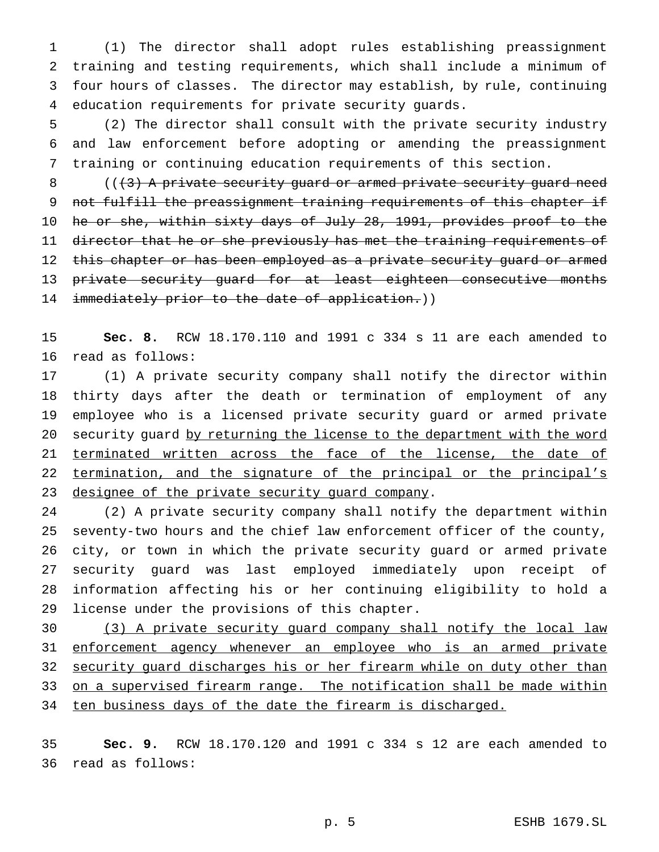(1) The director shall adopt rules establishing preassignment training and testing requirements, which shall include a minimum of four hours of classes. The director may establish, by rule, continuing education requirements for private security guards.

 (2) The director shall consult with the private security industry and law enforcement before adopting or amending the preassignment training or continuing education requirements of this section.

 ( $(\frac{1}{3})$  A private security guard or armed private security guard need 9 not fulfill the preassignment training requirements of this chapter if he or she, within sixty days of July 28, 1991, provides proof to the 11 director that he or she previously has met the training requirements of 12 this chapter or has been employed as a private security guard or armed private security guard for at least eighteen consecutive months 14 immediately prior to the date of application.))

 **Sec. 8.** RCW 18.170.110 and 1991 c 334 s 11 are each amended to read as follows:

 (1) A private security company shall notify the director within thirty days after the death or termination of employment of any employee who is a licensed private security guard or armed private 20 security guard by returning the license to the department with the word 21 terminated written across the face of the license, the date of 22 termination, and the signature of the principal or the principal's 23 designee of the private security quard company.

 (2) A private security company shall notify the department within seventy-two hours and the chief law enforcement officer of the county, city, or town in which the private security guard or armed private security guard was last employed immediately upon receipt of information affecting his or her continuing eligibility to hold a license under the provisions of this chapter.

 (3) A private security guard company shall notify the local law enforcement agency whenever an employee who is an armed private 32 security guard discharges his or her firearm while on duty other than 33 on a supervised firearm range. The notification shall be made within 34 ten business days of the date the firearm is discharged.

 **Sec. 9.** RCW 18.170.120 and 1991 c 334 s 12 are each amended to read as follows: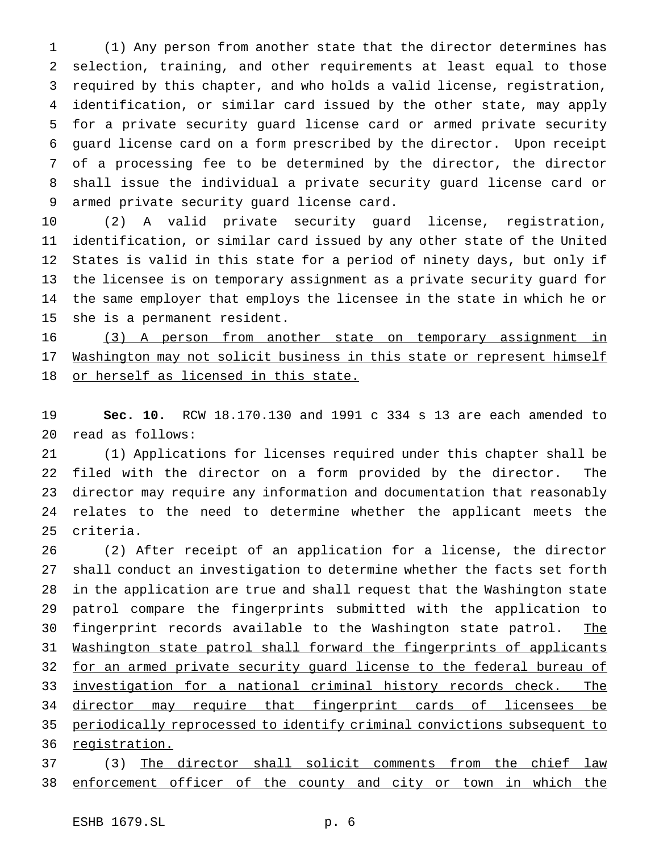(1) Any person from another state that the director determines has selection, training, and other requirements at least equal to those required by this chapter, and who holds a valid license, registration, identification, or similar card issued by the other state, may apply for a private security guard license card or armed private security guard license card on a form prescribed by the director. Upon receipt of a processing fee to be determined by the director, the director shall issue the individual a private security guard license card or armed private security guard license card.

 (2) A valid private security guard license, registration, identification, or similar card issued by any other state of the United States is valid in this state for a period of ninety days, but only if the licensee is on temporary assignment as a private security guard for the same employer that employs the licensee in the state in which he or she is a permanent resident.

 (3) A person from another state on temporary assignment in 17 Washington may not solicit business in this state or represent himself 18 or herself as licensed in this state.

 **Sec. 10.** RCW 18.170.130 and 1991 c 334 s 13 are each amended to read as follows:

 (1) Applications for licenses required under this chapter shall be filed with the director on a form provided by the director. The director may require any information and documentation that reasonably relates to the need to determine whether the applicant meets the criteria.

 (2) After receipt of an application for a license, the director shall conduct an investigation to determine whether the facts set forth in the application are true and shall request that the Washington state patrol compare the fingerprints submitted with the application to 30 fingerprint records available to the Washington state patrol. The Washington state patrol shall forward the fingerprints of applicants 32 for an armed private security guard license to the federal bureau of 33 investigation for a national criminal history records check. The director may require that fingerprint cards of licensees be periodically reprocessed to identify criminal convictions subsequent to 36 registration.

 (3) The director shall solicit comments from the chief law 38 enforcement officer of the county and city or town in which the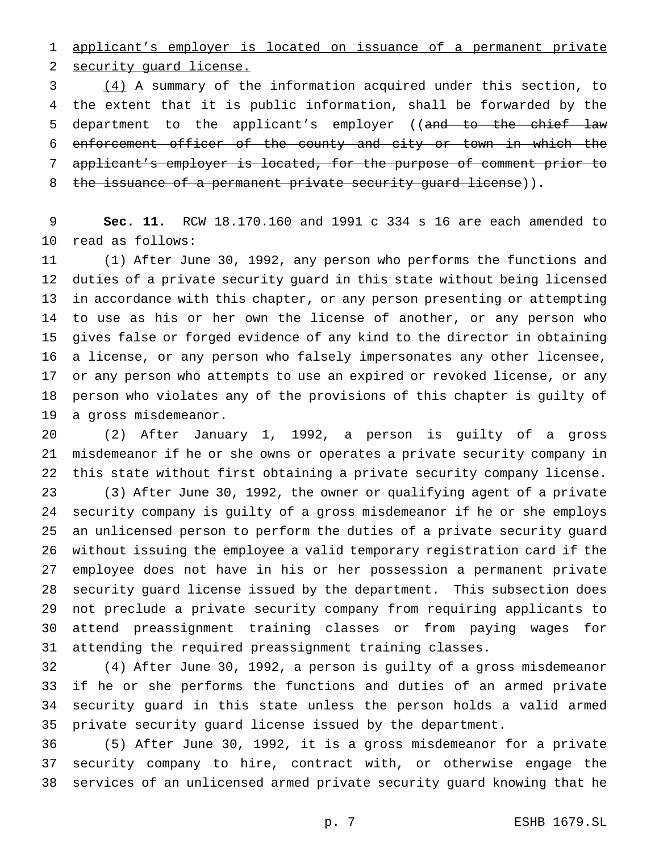applicant's employer is located on issuance of a permanent private security guard license.

 (4) A summary of the information acquired under this section, to the extent that it is public information, shall be forwarded by the 5 department to the applicant's employer ((and to the chief law enforcement officer of the county and city or town in which the applicant's employer is located, for the purpose of comment prior to 8 the issuance of a permanent private security guard license)).

 **Sec. 11.** RCW 18.170.160 and 1991 c 334 s 16 are each amended to read as follows:

 (1) After June 30, 1992, any person who performs the functions and duties of a private security guard in this state without being licensed in accordance with this chapter, or any person presenting or attempting to use as his or her own the license of another, or any person who gives false or forged evidence of any kind to the director in obtaining a license, or any person who falsely impersonates any other licensee, or any person who attempts to use an expired or revoked license, or any person who violates any of the provisions of this chapter is guilty of a gross misdemeanor.

 (2) After January 1, 1992, a person is guilty of a gross misdemeanor if he or she owns or operates a private security company in this state without first obtaining a private security company license. (3) After June 30, 1992, the owner or qualifying agent of a private security company is guilty of a gross misdemeanor if he or she employs an unlicensed person to perform the duties of a private security guard without issuing the employee a valid temporary registration card if the employee does not have in his or her possession a permanent private security guard license issued by the department. This subsection does not preclude a private security company from requiring applicants to attend preassignment training classes or from paying wages for attending the required preassignment training classes.

 (4) After June 30, 1992, a person is guilty of a gross misdemeanor if he or she performs the functions and duties of an armed private security guard in this state unless the person holds a valid armed private security guard license issued by the department.

 (5) After June 30, 1992, it is a gross misdemeanor for a private security company to hire, contract with, or otherwise engage the services of an unlicensed armed private security guard knowing that he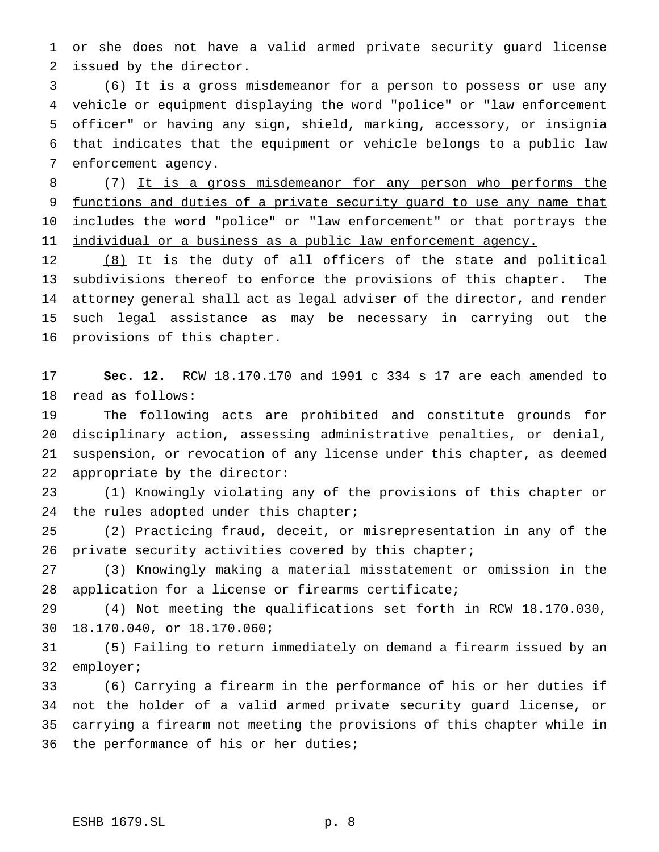or she does not have a valid armed private security guard license issued by the director.

 (6) It is a gross misdemeanor for a person to possess or use any vehicle or equipment displaying the word "police" or "law enforcement officer" or having any sign, shield, marking, accessory, or insignia that indicates that the equipment or vehicle belongs to a public law enforcement agency.

 (7) It is a gross misdemeanor for any person who performs the 9 functions and duties of a private security guard to use any name that 10 includes the word "police" or "law enforcement" or that portrays the 11 individual or a business as a public law enforcement agency.

 (8) It is the duty of all officers of the state and political subdivisions thereof to enforce the provisions of this chapter. The attorney general shall act as legal adviser of the director, and render such legal assistance as may be necessary in carrying out the provisions of this chapter.

 **Sec. 12.** RCW 18.170.170 and 1991 c 334 s 17 are each amended to read as follows:

 The following acts are prohibited and constitute grounds for disciplinary action, assessing administrative penalties, or denial, suspension, or revocation of any license under this chapter, as deemed appropriate by the director:

 (1) Knowingly violating any of the provisions of this chapter or 24 the rules adopted under this chapter;

 (2) Practicing fraud, deceit, or misrepresentation in any of the private security activities covered by this chapter;

 (3) Knowingly making a material misstatement or omission in the application for a license or firearms certificate;

 (4) Not meeting the qualifications set forth in RCW 18.170.030, 18.170.040, or 18.170.060;

 (5) Failing to return immediately on demand a firearm issued by an employer;

 (6) Carrying a firearm in the performance of his or her duties if not the holder of a valid armed private security guard license, or carrying a firearm not meeting the provisions of this chapter while in the performance of his or her duties;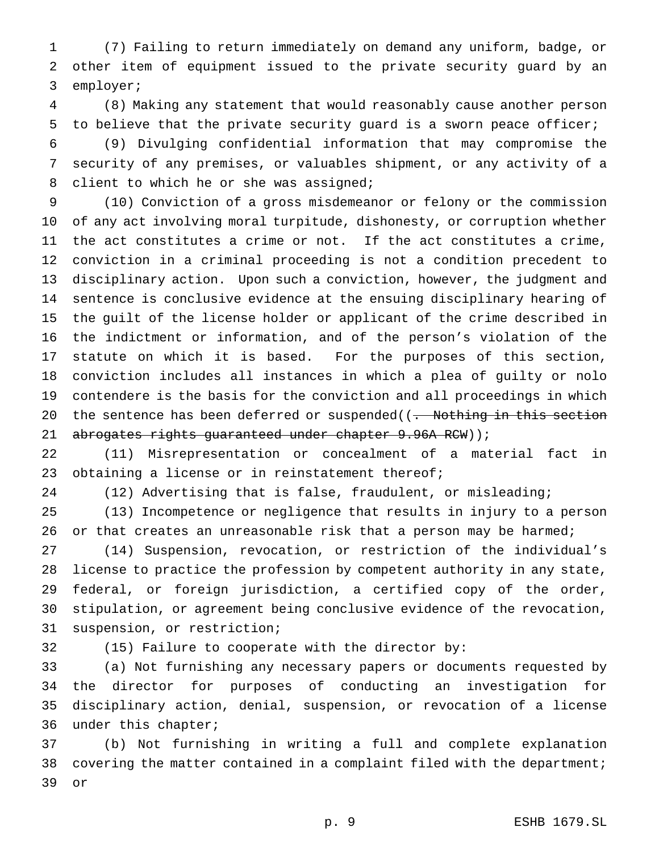(7) Failing to return immediately on demand any uniform, badge, or other item of equipment issued to the private security guard by an employer;

 (8) Making any statement that would reasonably cause another person to believe that the private security guard is a sworn peace officer;

 (9) Divulging confidential information that may compromise the security of any premises, or valuables shipment, or any activity of a client to which he or she was assigned;

 (10) Conviction of a gross misdemeanor or felony or the commission of any act involving moral turpitude, dishonesty, or corruption whether the act constitutes a crime or not. If the act constitutes a crime, conviction in a criminal proceeding is not a condition precedent to disciplinary action. Upon such a conviction, however, the judgment and sentence is conclusive evidence at the ensuing disciplinary hearing of the guilt of the license holder or applicant of the crime described in the indictment or information, and of the person's violation of the statute on which it is based. For the purposes of this section, conviction includes all instances in which a plea of guilty or nolo contendere is the basis for the conviction and all proceedings in which 20 the sentence has been deferred or suspended((. Nothing in this section 21 abrogates rights guaranteed under chapter 9.96A RCW));

 (11) Misrepresentation or concealment of a material fact in 23 obtaining a license or in reinstatement thereof;

(12) Advertising that is false, fraudulent, or misleading;

 (13) Incompetence or negligence that results in injury to a person 26 or that creates an unreasonable risk that a person may be harmed;

 (14) Suspension, revocation, or restriction of the individual's license to practice the profession by competent authority in any state, federal, or foreign jurisdiction, a certified copy of the order, stipulation, or agreement being conclusive evidence of the revocation, suspension, or restriction;

(15) Failure to cooperate with the director by:

 (a) Not furnishing any necessary papers or documents requested by the director for purposes of conducting an investigation for disciplinary action, denial, suspension, or revocation of a license under this chapter;

 (b) Not furnishing in writing a full and complete explanation covering the matter contained in a complaint filed with the department; or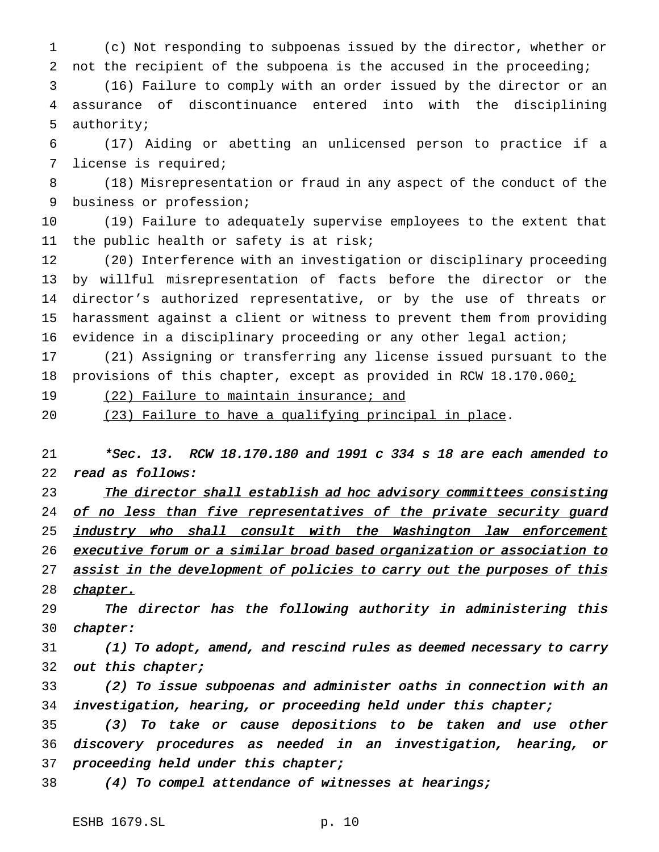(c) Not responding to subpoenas issued by the director, whether or not the recipient of the subpoena is the accused in the proceeding;

 (16) Failure to comply with an order issued by the director or an assurance of discontinuance entered into with the disciplining authority;

 (17) Aiding or abetting an unlicensed person to practice if a license is required;

 (18) Misrepresentation or fraud in any aspect of the conduct of the business or profession;

 (19) Failure to adequately supervise employees to the extent that the public health or safety is at risk;

 (20) Interference with an investigation or disciplinary proceeding by willful misrepresentation of facts before the director or the director's authorized representative, or by the use of threats or harassment against a client or witness to prevent them from providing evidence in a disciplinary proceeding or any other legal action;

 (21) Assigning or transferring any license issued pursuant to the 18 provisions of this chapter, except as provided in RCW 18.170.060i

19 (22) Failure to maintain insurance; and

(23) Failure to have a qualifying principal in place.

 \*Sec. 13. RCW 18.170.180 and <sup>1991</sup> <sup>c</sup> <sup>334</sup> <sup>s</sup> <sup>18</sup> are each amended to read as follows:

23 The director shall establish ad hoc advisory committees consisting 24 of no less than five representatives of the private security guard 25 industry who shall consult with the Washington law enforcement 26 executive forum or a similar broad based organization or association to 27 assist in the development of policies to carry out the purposes of this *chapter.* 

 The director has the following authority in administering this chapter:

 (1) To adopt, amend, and rescind rules as deemed necessary to carry 32 out this chapter;

 (2) To issue subpoenas and administer oaths in connection with an investigation, hearing, or proceeding held under this chapter;

 (3) To take or cause depositions to be taken and use other discovery procedures as needed in an investigation, hearing, or 37 proceeding held under this chapter;

(4) To compel attendance of witnesses at hearings;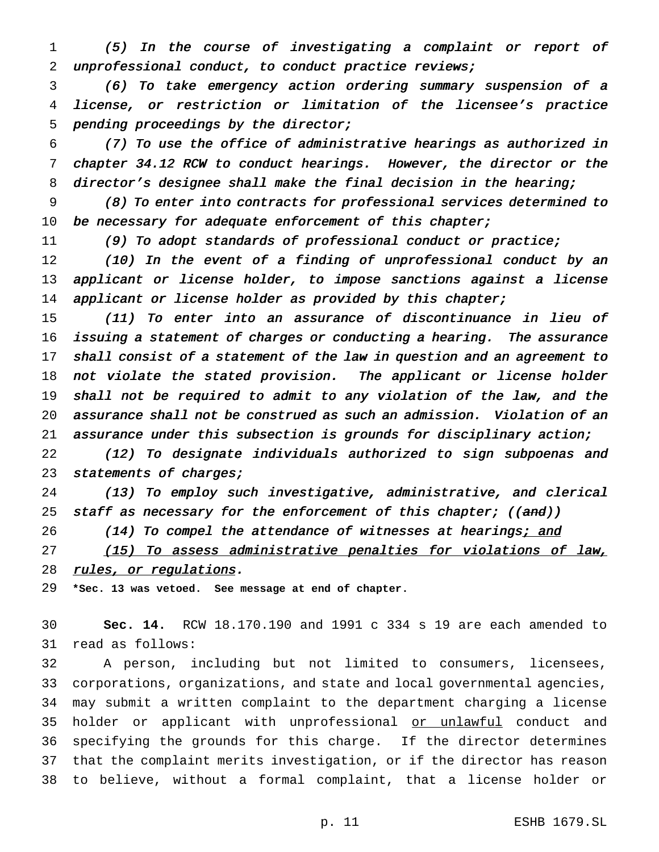(5) In the course of investigating <sup>a</sup> complaint or report of unprofessional conduct, to conduct practice reviews;

 (6) To take emergency action ordering summary suspension of <sup>a</sup> license, or restriction or limitation of the licensee's practice pending proceedings by the director;

 (7) To use the office of administrative hearings as authorized in chapter 34.12 RCW to conduct hearings. However, the director or the 8 director's designee shall make the final decision in the hearing;

 (8) To enter into contracts for professional services determined to 10 be necessary for adequate enforcement of this chapter;

11 (9) To adopt standards of professional conduct or practice;

 (10) In the event of <sup>a</sup> finding of unprofessional conduct by an applicant or license holder, to impose sanctions against <sup>a</sup> license 14 applicant or license holder as provided by this chapter;

 (11) To enter into an assurance of discontinuance in lieu of issuing <sup>a</sup> statement of charges or conducting <sup>a</sup> hearing. The assurance 17 shall consist of a statement of the law in question and an agreement to not violate the stated provision. The applicant or license holder shall not be required to admit to any violation of the law, and the assurance shall not be construed as such an admission. Violation of an assurance under this subsection is grounds for disciplinary action;

 (12) To designate individuals authorized to sign subpoenas and 23 statements of charges;

 (13) To employ such investigative, administrative, and clerical 25 staff as necessary for the enforcement of this chapter; ((and))

26 (14) To compel the attendance of witnesses at hearings; and

27 (15) To assess administrative penalties for violations of law, 28 rules, or regulations.

**\*Sec. 13 was vetoed. See message at end of chapter.**

 **Sec. 14.** RCW 18.170.190 and 1991 c 334 s 19 are each amended to read as follows:

 A person, including but not limited to consumers, licensees, corporations, organizations, and state and local governmental agencies, may submit a written complaint to the department charging a license 35 holder or applicant with unprofessional or unlawful conduct and specifying the grounds for this charge. If the director determines that the complaint merits investigation, or if the director has reason to believe, without a formal complaint, that a license holder or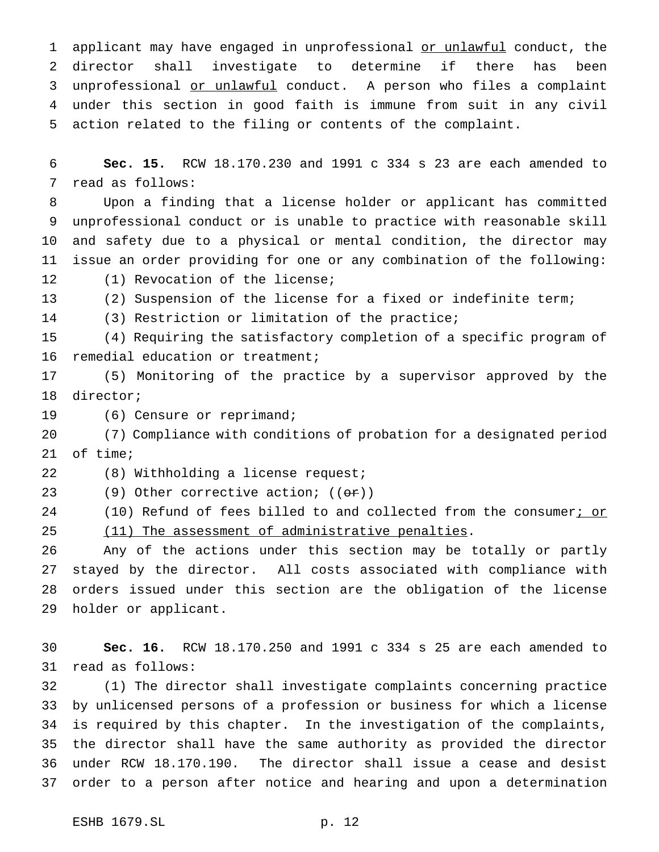1 applicant may have engaged in unprofessional or unlawful conduct, the director shall investigate to determine if there has been unprofessional or unlawful conduct. A person who files a complaint under this section in good faith is immune from suit in any civil action related to the filing or contents of the complaint.

 **Sec. 15.** RCW 18.170.230 and 1991 c 334 s 23 are each amended to read as follows:

 Upon a finding that a license holder or applicant has committed unprofessional conduct or is unable to practice with reasonable skill and safety due to a physical or mental condition, the director may issue an order providing for one or any combination of the following: (1) Revocation of the license;

(2) Suspension of the license for a fixed or indefinite term;

(3) Restriction or limitation of the practice;

 (4) Requiring the satisfactory completion of a specific program of remedial education or treatment;

 (5) Monitoring of the practice by a supervisor approved by the director;

19 (6) Censure or reprimand;

 (7) Compliance with conditions of probation for a designated period of time;

(8) Withholding a license request;

23 (9) Other corrective action;  $((\theta \cdot \mathbf{r}))$ 

24 (10) Refund of fees billed to and collected from the consumer; or

25 (11) The assessment of administrative penalties.

 Any of the actions under this section may be totally or partly stayed by the director. All costs associated with compliance with orders issued under this section are the obligation of the license holder or applicant.

 **Sec. 16.** RCW 18.170.250 and 1991 c 334 s 25 are each amended to read as follows:

 (1) The director shall investigate complaints concerning practice by unlicensed persons of a profession or business for which a license is required by this chapter. In the investigation of the complaints, the director shall have the same authority as provided the director under RCW 18.170.190. The director shall issue a cease and desist order to a person after notice and hearing and upon a determination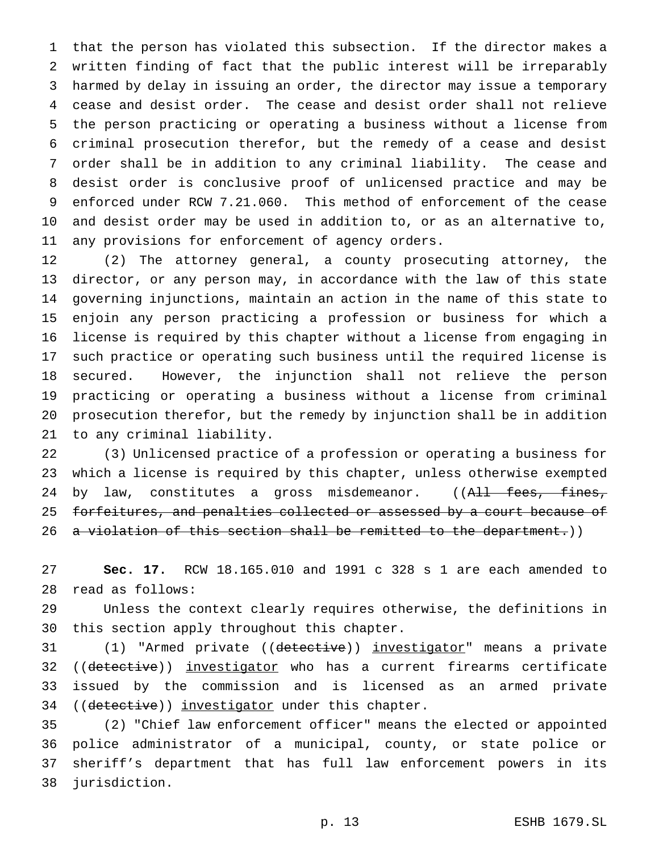that the person has violated this subsection. If the director makes a written finding of fact that the public interest will be irreparably harmed by delay in issuing an order, the director may issue a temporary cease and desist order. The cease and desist order shall not relieve the person practicing or operating a business without a license from criminal prosecution therefor, but the remedy of a cease and desist order shall be in addition to any criminal liability. The cease and desist order is conclusive proof of unlicensed practice and may be enforced under RCW 7.21.060. This method of enforcement of the cease and desist order may be used in addition to, or as an alternative to, any provisions for enforcement of agency orders.

 (2) The attorney general, a county prosecuting attorney, the director, or any person may, in accordance with the law of this state governing injunctions, maintain an action in the name of this state to enjoin any person practicing a profession or business for which a license is required by this chapter without a license from engaging in such practice or operating such business until the required license is secured. However, the injunction shall not relieve the person practicing or operating a business without a license from criminal prosecution therefor, but the remedy by injunction shall be in addition to any criminal liability.

 (3) Unlicensed practice of a profession or operating a business for which a license is required by this chapter, unless otherwise exempted 24 by law, constitutes a gross misdemeanor. ((All fees, fines, 25 forfeitures, and penalties collected or assessed by a court because of 26 a violation of this section shall be remitted to the department.))

 **Sec. 17.** RCW 18.165.010 and 1991 c 328 s 1 are each amended to read as follows:

 Unless the context clearly requires otherwise, the definitions in this section apply throughout this chapter.

 (1) "Armed private ((detective)) investigator" means a private 32 ((detective)) investigator who has a current firearms certificate issued by the commission and is licensed as an armed private 34 ((detective)) investigator under this chapter.

 (2) "Chief law enforcement officer" means the elected or appointed police administrator of a municipal, county, or state police or sheriff's department that has full law enforcement powers in its jurisdiction.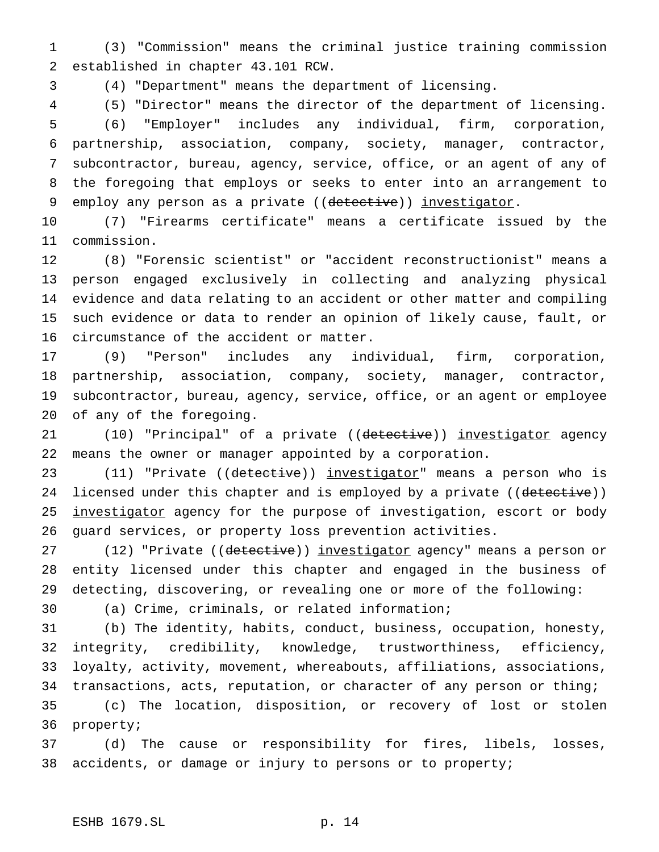(3) "Commission" means the criminal justice training commission established in chapter 43.101 RCW.

(4) "Department" means the department of licensing.

 (5) "Director" means the director of the department of licensing. (6) "Employer" includes any individual, firm, corporation, partnership, association, company, society, manager, contractor, subcontractor, bureau, agency, service, office, or an agent of any of the foregoing that employs or seeks to enter into an arrangement to 9 employ any person as a private ((detective)) investigator.

 (7) "Firearms certificate" means a certificate issued by the commission.

 (8) "Forensic scientist" or "accident reconstructionist" means a person engaged exclusively in collecting and analyzing physical evidence and data relating to an accident or other matter and compiling such evidence or data to render an opinion of likely cause, fault, or circumstance of the accident or matter.

 (9) "Person" includes any individual, firm, corporation, partnership, association, company, society, manager, contractor, subcontractor, bureau, agency, service, office, or an agent or employee of any of the foregoing.

21 (10) "Principal" of a private ((detective)) investigator agency means the owner or manager appointed by a corporation.

23 (11) "Private ((detective)) investigator" means a person who is 24 licensed under this chapter and is employed by a private ((detective)) 25 investigator agency for the purpose of investigation, escort or body guard services, or property loss prevention activities.

27 (12) "Private ((detective)) investigator agency" means a person or entity licensed under this chapter and engaged in the business of detecting, discovering, or revealing one or more of the following:

(a) Crime, criminals, or related information;

 (b) The identity, habits, conduct, business, occupation, honesty, integrity, credibility, knowledge, trustworthiness, efficiency, loyalty, activity, movement, whereabouts, affiliations, associations, transactions, acts, reputation, or character of any person or thing; (c) The location, disposition, or recovery of lost or stolen

property;

 (d) The cause or responsibility for fires, libels, losses, accidents, or damage or injury to persons or to property;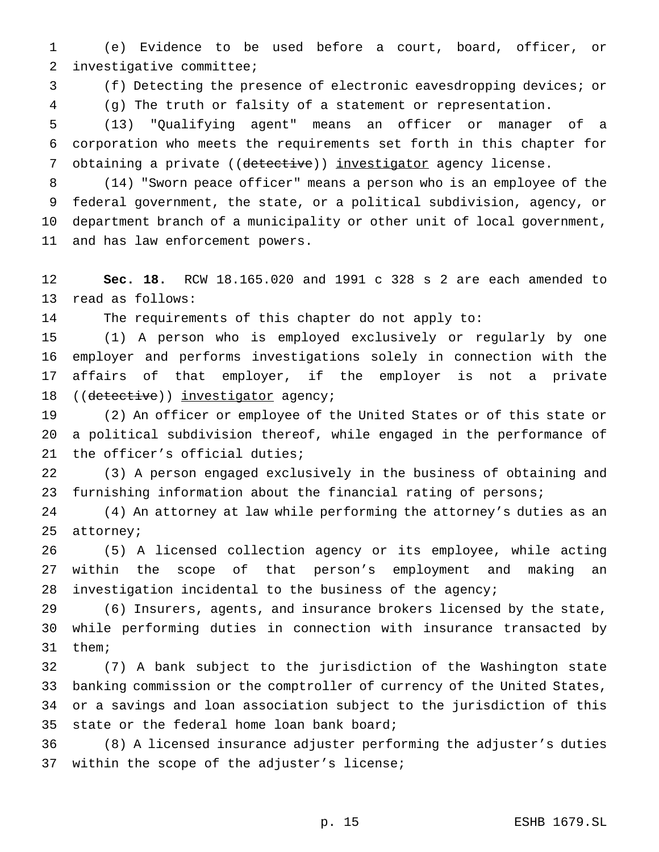(e) Evidence to be used before a court, board, officer, or investigative committee;

(f) Detecting the presence of electronic eavesdropping devices; or

(g) The truth or falsity of a statement or representation.

 (13) "Qualifying agent" means an officer or manager of a corporation who meets the requirements set forth in this chapter for 7 obtaining a private ((detective)) investigator agency license.

 (14) "Sworn peace officer" means a person who is an employee of the federal government, the state, or a political subdivision, agency, or department branch of a municipality or other unit of local government, and has law enforcement powers.

 **Sec. 18.** RCW 18.165.020 and 1991 c 328 s 2 are each amended to read as follows:

The requirements of this chapter do not apply to:

 (1) A person who is employed exclusively or regularly by one employer and performs investigations solely in connection with the affairs of that employer, if the employer is not a private 18 ((detective)) investigator agency;

 (2) An officer or employee of the United States or of this state or a political subdivision thereof, while engaged in the performance of the officer's official duties;

 (3) A person engaged exclusively in the business of obtaining and furnishing information about the financial rating of persons;

 (4) An attorney at law while performing the attorney's duties as an attorney;

 (5) A licensed collection agency or its employee, while acting within the scope of that person's employment and making an investigation incidental to the business of the agency;

 (6) Insurers, agents, and insurance brokers licensed by the state, while performing duties in connection with insurance transacted by them;

 (7) A bank subject to the jurisdiction of the Washington state banking commission or the comptroller of currency of the United States, or a savings and loan association subject to the jurisdiction of this state or the federal home loan bank board;

 (8) A licensed insurance adjuster performing the adjuster's duties within the scope of the adjuster's license;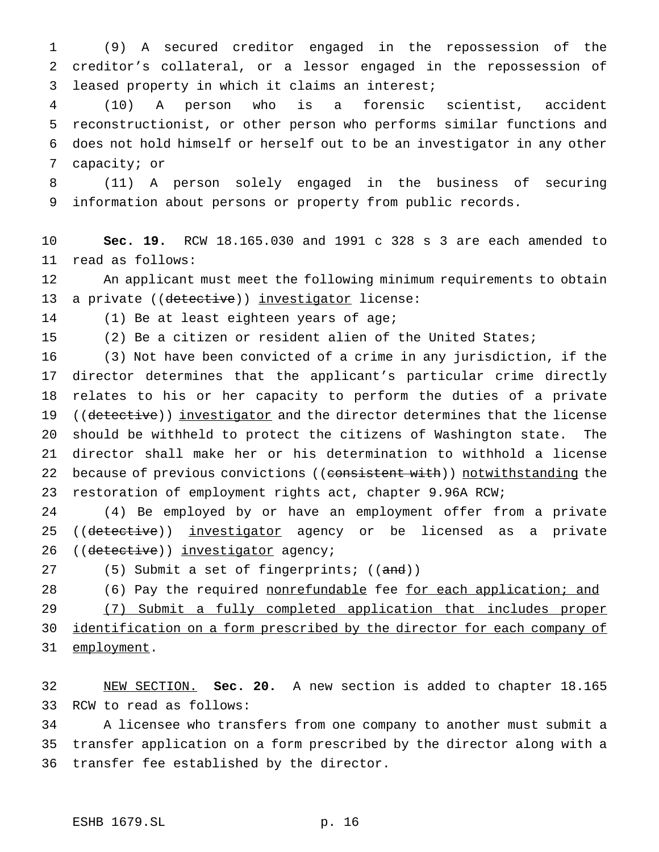(9) A secured creditor engaged in the repossession of the creditor's collateral, or a lessor engaged in the repossession of leased property in which it claims an interest;

 (10) A person who is a forensic scientist, accident reconstructionist, or other person who performs similar functions and does not hold himself or herself out to be an investigator in any other capacity; or

 (11) A person solely engaged in the business of securing information about persons or property from public records.

 **Sec. 19.** RCW 18.165.030 and 1991 c 328 s 3 are each amended to read as follows:

 An applicant must meet the following minimum requirements to obtain 13 a private ((detective)) investigator license:

(1) Be at least eighteen years of age;

(2) Be a citizen or resident alien of the United States;

 (3) Not have been convicted of a crime in any jurisdiction, if the director determines that the applicant's particular crime directly relates to his or her capacity to perform the duties of a private 19 ((detective)) investigator and the director determines that the license should be withheld to protect the citizens of Washington state. The director shall make her or his determination to withhold a license 22 because of previous convictions ((consistent with)) notwithstanding the restoration of employment rights act, chapter 9.96A RCW;

 (4) Be employed by or have an employment offer from a private 25 ((detective)) investigator agency or be licensed as a private 26 ((detective)) investigator agency;

27 (5) Submit a set of fingerprints; ((and))

28 (6) Pay the required nonrefundable fee for each application; and

 (7) Submit a fully completed application that includes proper 30 identification on a form prescribed by the director for each company of

31 employment.

 NEW SECTION. **Sec. 20.** A new section is added to chapter 18.165 RCW to read as follows:

 A licensee who transfers from one company to another must submit a transfer application on a form prescribed by the director along with a transfer fee established by the director.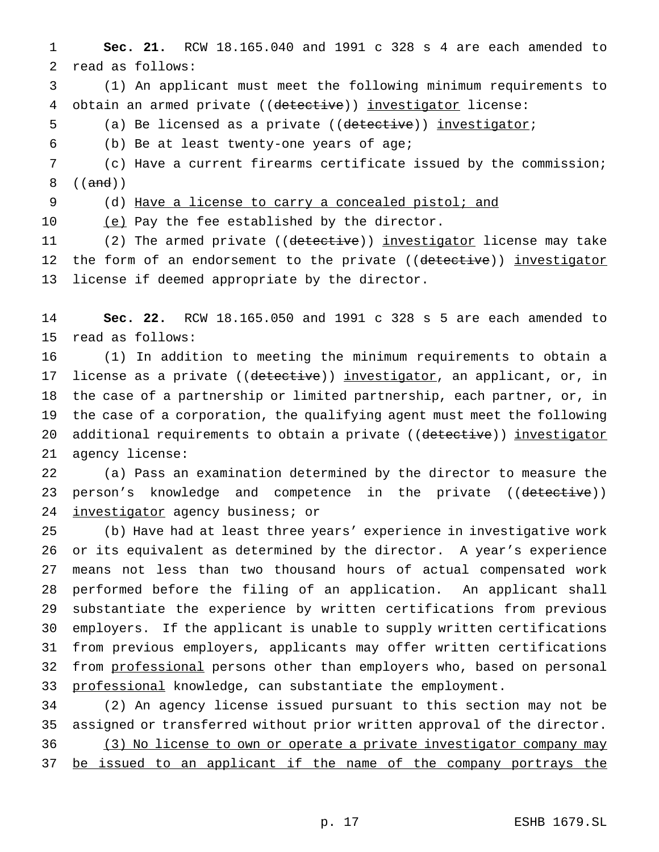**Sec. 21.** RCW 18.165.040 and 1991 c 328 s 4 are each amended to read as follows:

 (1) An applicant must meet the following minimum requirements to 4 obtain an armed private ((detective)) investigator license:

5 (a) Be licensed as a private ((detective)) investigator;

(b) Be at least twenty-one years of age;

 (c) Have a current firearms certificate issued by the commission; ((and))

(d) Have a license to carry a concealed pistol; and

10 (e) Pay the fee established by the director.

11 (2) The armed private ((detective)) investigator license may take 12 the form of an endorsement to the private ((detective)) investigator license if deemed appropriate by the director.

 **Sec. 22.** RCW 18.165.050 and 1991 c 328 s 5 are each amended to read as follows:

 (1) In addition to meeting the minimum requirements to obtain a 17 license as a private ((detective)) investigator, an applicant, or, in the case of a partnership or limited partnership, each partner, or, in the case of a corporation, the qualifying agent must meet the following 20 additional requirements to obtain a private ((detective)) investigator agency license:

 (a) Pass an examination determined by the director to measure the 23 person's knowledge and competence in the private ((detective)) 24 investigator agency business; or

 (b) Have had at least three years' experience in investigative work or its equivalent as determined by the director. A year's experience means not less than two thousand hours of actual compensated work performed before the filing of an application. An applicant shall substantiate the experience by written certifications from previous employers. If the applicant is unable to supply written certifications from previous employers, applicants may offer written certifications 32 from professional persons other than employers who, based on personal 33 professional knowledge, can substantiate the employment.

 (2) An agency license issued pursuant to this section may not be assigned or transferred without prior written approval of the director. (3) No license to own or operate a private investigator company may 37 be issued to an applicant if the name of the company portrays the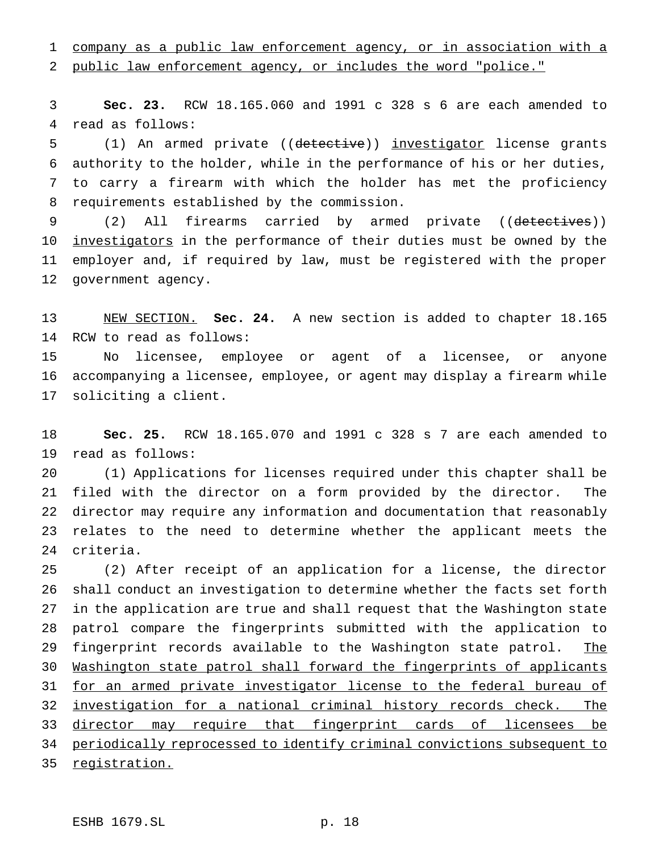company as a public law enforcement agency, or in association with a

public law enforcement agency, or includes the word "police."

 **Sec. 23.** RCW 18.165.060 and 1991 c 328 s 6 are each amended to read as follows:

 (1) An armed private ((detective)) investigator license grants authority to the holder, while in the performance of his or her duties, to carry a firearm with which the holder has met the proficiency requirements established by the commission.

9 (2) All firearms carried by armed private ((detectives)) 10 <u>investigators</u> in the performance of their duties must be owned by the employer and, if required by law, must be registered with the proper government agency.

 NEW SECTION. **Sec. 24.** A new section is added to chapter 18.165 RCW to read as follows:

 No licensee, employee or agent of a licensee, or anyone accompanying a licensee, employee, or agent may display a firearm while soliciting a client.

 **Sec. 25.** RCW 18.165.070 and 1991 c 328 s 7 are each amended to read as follows:

 (1) Applications for licenses required under this chapter shall be filed with the director on a form provided by the director. The director may require any information and documentation that reasonably relates to the need to determine whether the applicant meets the criteria.

 (2) After receipt of an application for a license, the director shall conduct an investigation to determine whether the facts set forth in the application are true and shall request that the Washington state patrol compare the fingerprints submitted with the application to 29 fingerprint records available to the Washington state patrol. The Washington state patrol shall forward the fingerprints of applicants 31 for an armed private investigator license to the federal bureau of investigation for a national criminal history records check. The 33 director may require that fingerprint cards of licensees be periodically reprocessed to identify criminal convictions subsequent to registration.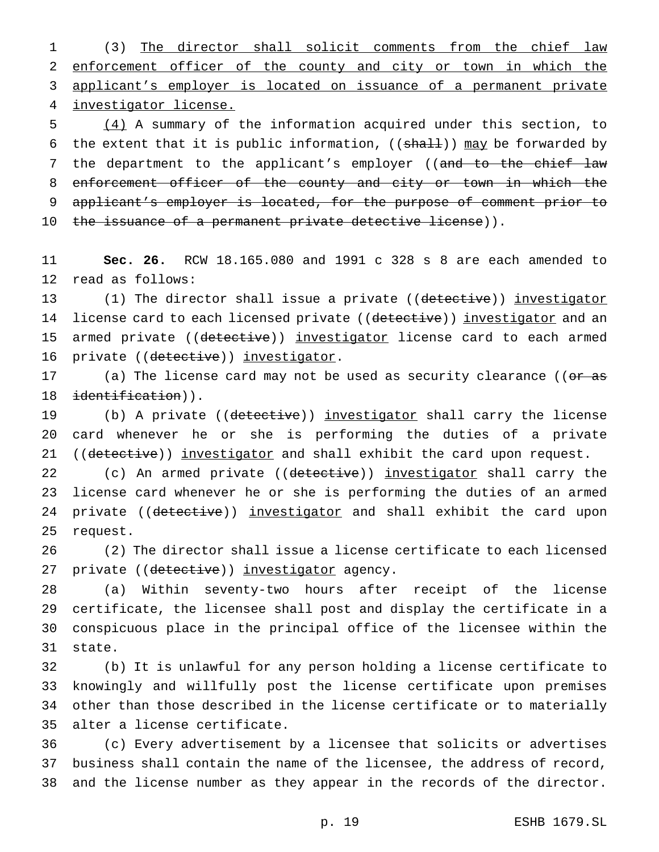(3) The director shall solicit comments from the chief law enforcement officer of the county and city or town in which the applicant's employer is located on issuance of a permanent private investigator license.

 (4) A summary of the information acquired under this section, to 6 the extent that it is public information,  $((shall))$  may be forwarded by 7 the department to the applicant's employer ((and to the chief law enforcement officer of the county and city or town in which the applicant's employer is located, for the purpose of comment prior to 10 the issuance of a permanent private detective license)).

 **Sec. 26.** RCW 18.165.080 and 1991 c 328 s 8 are each amended to read as follows:

13 (1) The director shall issue a private ((detective)) investigator 14 license card to each licensed private ((detective)) investigator and an 15 armed private ((detective)) investigator license card to each armed 16 private ((detective)) investigator.

17 (a) The license card may not be used as security clearance ((or as 18 identification)).

19 (b) A private ((detective)) investigator shall carry the license card whenever he or she is performing the duties of a private 21 ((detective)) investigator and shall exhibit the card upon request.

22 (c) An armed private ((detective)) investigator shall carry the license card whenever he or she is performing the duties of an armed 24 private ((detective)) investigator and shall exhibit the card upon request.

 (2) The director shall issue a license certificate to each licensed 27 private ((detective)) investigator agency.

 (a) Within seventy-two hours after receipt of the license certificate, the licensee shall post and display the certificate in a conspicuous place in the principal office of the licensee within the state.

 (b) It is unlawful for any person holding a license certificate to knowingly and willfully post the license certificate upon premises other than those described in the license certificate or to materially alter a license certificate.

 (c) Every advertisement by a licensee that solicits or advertises business shall contain the name of the licensee, the address of record, and the license number as they appear in the records of the director.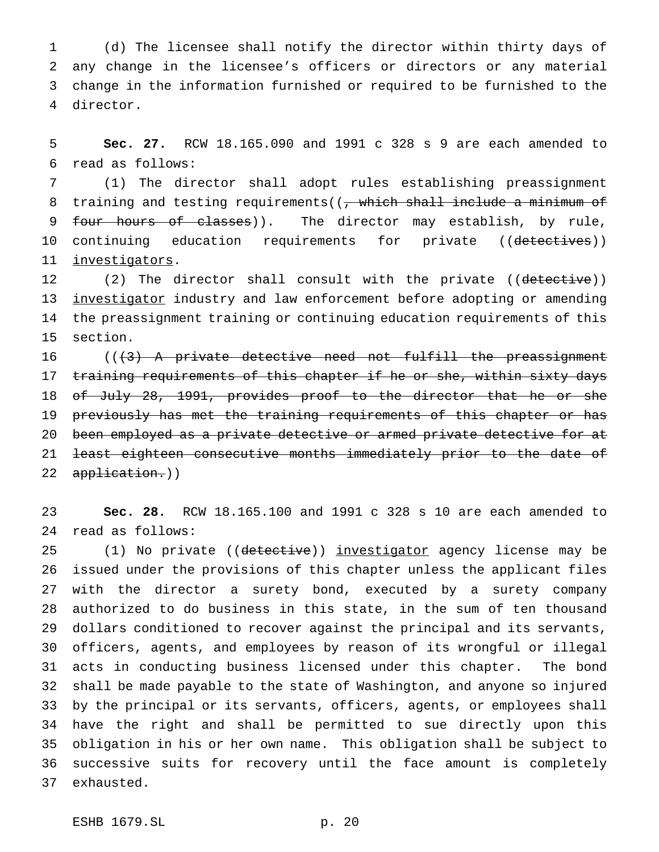(d) The licensee shall notify the director within thirty days of any change in the licensee's officers or directors or any material change in the information furnished or required to be furnished to the director.

 **Sec. 27.** RCW 18.165.090 and 1991 c 328 s 9 are each amended to read as follows:

 (1) The director shall adopt rules establishing preassignment 8 training and testing requirements((, which shall include a minimum of 9 four hours of classes)). The director may establish, by rule, 10 continuing education requirements for private ((detectives)) investigators.

12 (2) The director shall consult with the private ((detective)) 13 investigator industry and law enforcement before adopting or amending the preassignment training or continuing education requirements of this section.

16 ((<del>(3) A private detective need not fulfill the preassignment</del> 17 training requirements of this chapter if he or she, within sixty days of July 28, 1991, provides proof to the director that he or she previously has met the training requirements of this chapter or has been employed as a private detective or armed private detective for at least eighteen consecutive months immediately prior to the date of 22 application.))

 **Sec. 28.** RCW 18.165.100 and 1991 c 328 s 10 are each amended to read as follows:

25 (1) No private ((detective)) investigator agency license may be issued under the provisions of this chapter unless the applicant files with the director a surety bond, executed by a surety company authorized to do business in this state, in the sum of ten thousand dollars conditioned to recover against the principal and its servants, officers, agents, and employees by reason of its wrongful or illegal acts in conducting business licensed under this chapter. The bond shall be made payable to the state of Washington, and anyone so injured by the principal or its servants, officers, agents, or employees shall have the right and shall be permitted to sue directly upon this obligation in his or her own name. This obligation shall be subject to successive suits for recovery until the face amount is completely exhausted.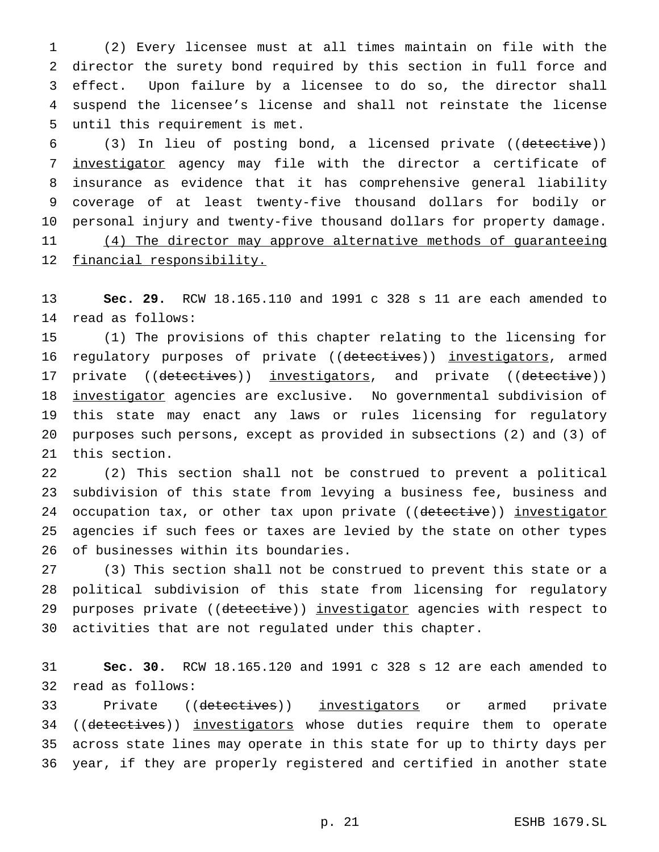(2) Every licensee must at all times maintain on file with the director the surety bond required by this section in full force and effect. Upon failure by a licensee to do so, the director shall suspend the licensee's license and shall not reinstate the license until this requirement is met.

 (3) In lieu of posting bond, a licensed private ((detective)) investigator agency may file with the director a certificate of insurance as evidence that it has comprehensive general liability coverage of at least twenty-five thousand dollars for bodily or personal injury and twenty-five thousand dollars for property damage. 11 (4) The director may approve alternative methods of guaranteeing 12 financial responsibility.

 **Sec. 29.** RCW 18.165.110 and 1991 c 328 s 11 are each amended to read as follows:

 (1) The provisions of this chapter relating to the licensing for 16 regulatory purposes of private ((detectives)) investigators, armed 17 private ((detectives)) investigators, and private ((detective)) 18 investigator agencies are exclusive. No governmental subdivision of this state may enact any laws or rules licensing for regulatory purposes such persons, except as provided in subsections (2) and (3) of this section.

 (2) This section shall not be construed to prevent a political subdivision of this state from levying a business fee, business and 24 occupation tax, or other tax upon private ((detective)) investigator agencies if such fees or taxes are levied by the state on other types of businesses within its boundaries.

 (3) This section shall not be construed to prevent this state or a political subdivision of this state from licensing for regulatory 29 purposes private ((detective)) investigator agencies with respect to activities that are not regulated under this chapter.

 **Sec. 30.** RCW 18.165.120 and 1991 c 328 s 12 are each amended to read as follows:

33 Private ((detectives)) investigators or armed private 34 ((detectives)) investigators whose duties require them to operate across state lines may operate in this state for up to thirty days per year, if they are properly registered and certified in another state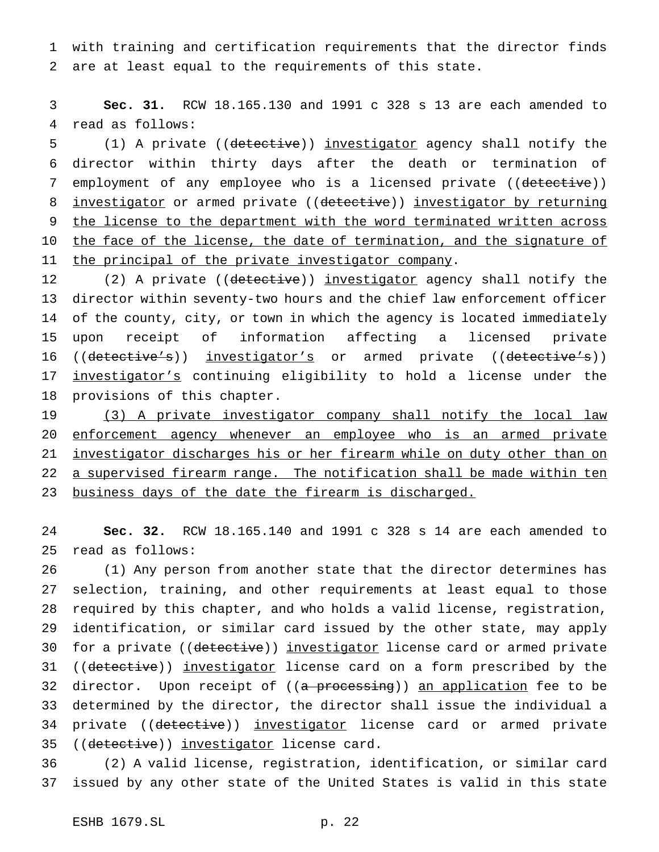1 with training and certification requirements that the director finds 2 are at least equal to the requirements of this state.

3 **Sec. 31.** RCW 18.165.130 and 1991 c 328 s 13 are each amended to 4 read as follows:

5 (1) A private ((detective)) investigator agency shall notify the 6 director within thirty days after the death or termination of 7 employment of any employee who is a licensed private ((detective)) 8 investigator or armed private ((detective)) investigator by returning 9 the license to the department with the word terminated written across 10 the face of the license, the date of termination, and the signature of 11 the principal of the private investigator company.

12 (2) A private ((detective)) investigator agency shall notify the director within seventy-two hours and the chief law enforcement officer of the county, city, or town in which the agency is located immediately upon receipt of information affecting a licensed private 16 ((detective's)) investigator's or armed private ((detective's)) investigator's continuing eligibility to hold a license under the provisions of this chapter.

19 (3) A private investigator company shall notify the local law 20 enforcement agency whenever an employee who is an armed private 21 investigator discharges his or her firearm while on duty other than on 22 a supervised firearm range. The notification shall be made within ten 23 business days of the date the firearm is discharged.

24 **Sec. 32.** RCW 18.165.140 and 1991 c 328 s 14 are each amended to 25 read as follows:

26 (1) Any person from another state that the director determines has 27 selection, training, and other requirements at least equal to those 28 required by this chapter, and who holds a valid license, registration, 29 identification, or similar card issued by the other state, may apply 30 for a private ((detective)) investigator license card or armed private 31 ((detective)) investigator license card on a form prescribed by the 32 director. Upon receipt of ((a processing)) an application fee to be 33 determined by the director, the director shall issue the individual a 34 private ((detective)) investigator license card or armed private 35 ((detective)) investigator license card.

36 (2) A valid license, registration, identification, or similar card 37 issued by any other state of the United States is valid in this state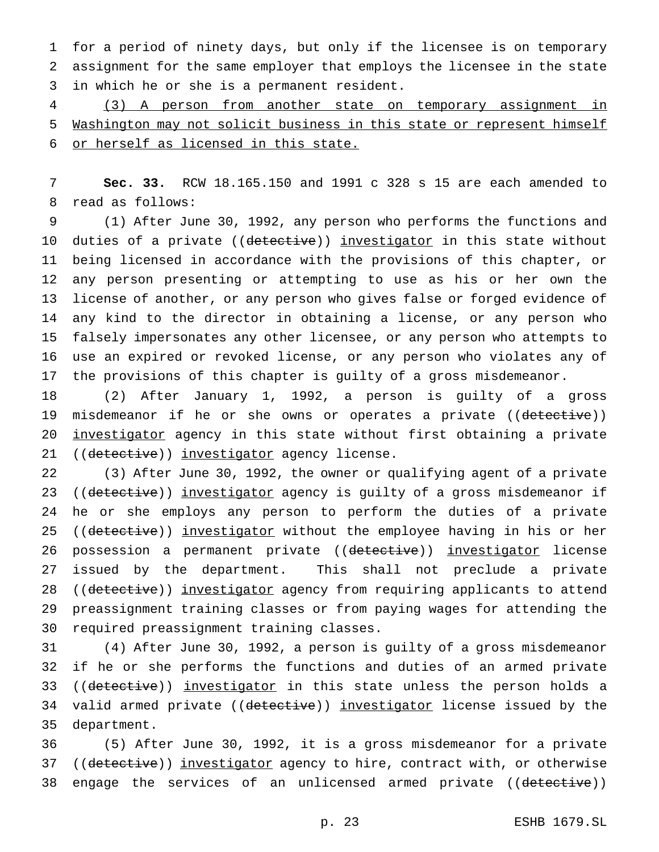for a period of ninety days, but only if the licensee is on temporary assignment for the same employer that employs the licensee in the state in which he or she is a permanent resident.

 (3) A person from another state on temporary assignment in Washington may not solicit business in this state or represent himself or herself as licensed in this state.

 **Sec. 33.** RCW 18.165.150 and 1991 c 328 s 15 are each amended to read as follows:

 (1) After June 30, 1992, any person who performs the functions and 10 duties of a private ((detective)) investigator in this state without being licensed in accordance with the provisions of this chapter, or any person presenting or attempting to use as his or her own the license of another, or any person who gives false or forged evidence of any kind to the director in obtaining a license, or any person who falsely impersonates any other licensee, or any person who attempts to use an expired or revoked license, or any person who violates any of the provisions of this chapter is guilty of a gross misdemeanor.

 (2) After January 1, 1992, a person is guilty of a gross 19 misdemeanor if he or she owns or operates a private ((detective)) 20 <u>investigator</u> agency in this state without first obtaining a private 21 ((detective)) investigator agency license.

 (3) After June 30, 1992, the owner or qualifying agent of a private 23 ((detective)) investigator agency is guilty of a gross misdemeanor if he or she employs any person to perform the duties of a private 25 ((detective)) investigator without the employee having in his or her 26 possession a permanent private ((detective)) investigator license issued by the department. This shall not preclude a private 28 ((detective)) investigator agency from requiring applicants to attend preassignment training classes or from paying wages for attending the required preassignment training classes.

 (4) After June 30, 1992, a person is guilty of a gross misdemeanor if he or she performs the functions and duties of an armed private 33 ((detective)) investigator in this state unless the person holds a 34 valid armed private ((detective)) investigator license issued by the department.

 (5) After June 30, 1992, it is a gross misdemeanor for a private 37 ((detective)) investigator agency to hire, contract with, or otherwise 38 engage the services of an unlicensed armed private ((detective))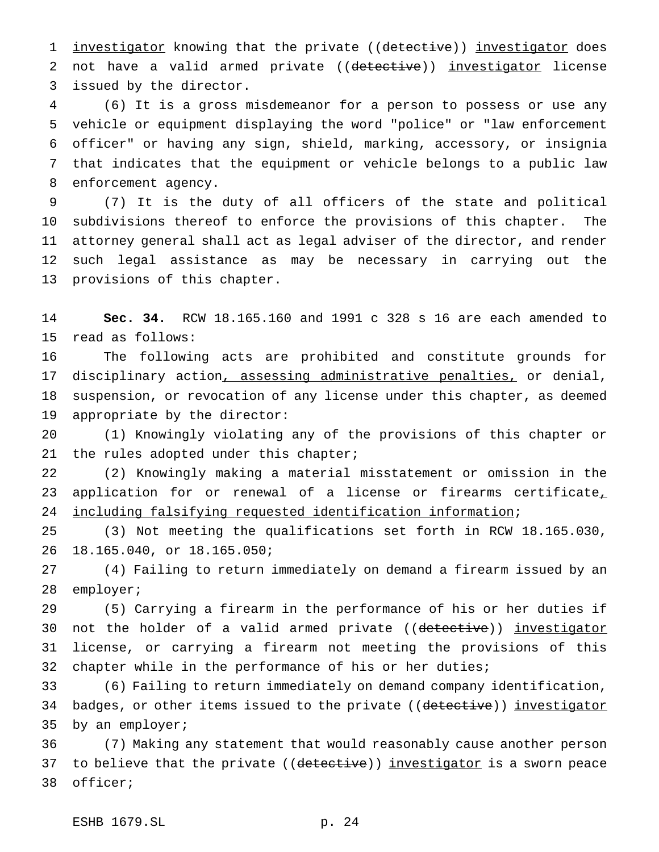1 investigator knowing that the private ((detective)) investigator does 2 not have a valid armed private ((detective)) investigator license issued by the director.

 (6) It is a gross misdemeanor for a person to possess or use any vehicle or equipment displaying the word "police" or "law enforcement officer" or having any sign, shield, marking, accessory, or insignia that indicates that the equipment or vehicle belongs to a public law enforcement agency.

 (7) It is the duty of all officers of the state and political subdivisions thereof to enforce the provisions of this chapter. The attorney general shall act as legal adviser of the director, and render such legal assistance as may be necessary in carrying out the provisions of this chapter.

 **Sec. 34.** RCW 18.165.160 and 1991 c 328 s 16 are each amended to read as follows:

 The following acts are prohibited and constitute grounds for 17 disciplinary action, assessing administrative penalties, or denial, suspension, or revocation of any license under this chapter, as deemed appropriate by the director:

 (1) Knowingly violating any of the provisions of this chapter or 21 the rules adopted under this chapter;

 (2) Knowingly making a material misstatement or omission in the 23 application for or renewal of a license or firearms certificate, including falsifying requested identification information;

 (3) Not meeting the qualifications set forth in RCW 18.165.030, 18.165.040, or 18.165.050;

 (4) Failing to return immediately on demand a firearm issued by an employer;

 (5) Carrying a firearm in the performance of his or her duties if 30 not the holder of a valid armed private ((detective)) investigator license, or carrying a firearm not meeting the provisions of this chapter while in the performance of his or her duties;

 (6) Failing to return immediately on demand company identification, 34 badges, or other items issued to the private ((detective)) investigator by an employer;

 (7) Making any statement that would reasonably cause another person 37 to believe that the private ((detective)) investigator is a sworn peace officer;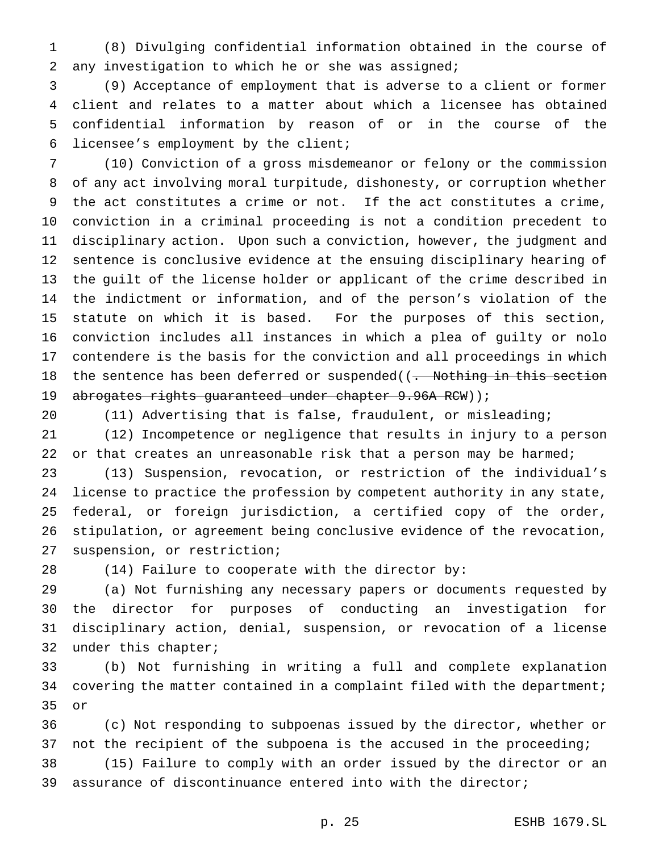(8) Divulging confidential information obtained in the course of any investigation to which he or she was assigned;

 (9) Acceptance of employment that is adverse to a client or former client and relates to a matter about which a licensee has obtained confidential information by reason of or in the course of the licensee's employment by the client;

 (10) Conviction of a gross misdemeanor or felony or the commission of any act involving moral turpitude, dishonesty, or corruption whether the act constitutes a crime or not. If the act constitutes a crime, conviction in a criminal proceeding is not a condition precedent to disciplinary action. Upon such a conviction, however, the judgment and sentence is conclusive evidence at the ensuing disciplinary hearing of the guilt of the license holder or applicant of the crime described in the indictment or information, and of the person's violation of the statute on which it is based. For the purposes of this section, conviction includes all instances in which a plea of guilty or nolo contendere is the basis for the conviction and all proceedings in which 18 the sentence has been deferred or suspended((. Nothing in this section 19 abrogates rights guaranteed under chapter 9.96A RCW));

 (11) Advertising that is false, fraudulent, or misleading; (12) Incompetence or negligence that results in injury to a person

22 or that creates an unreasonable risk that a person may be harmed;

 (13) Suspension, revocation, or restriction of the individual's license to practice the profession by competent authority in any state, federal, or foreign jurisdiction, a certified copy of the order, stipulation, or agreement being conclusive evidence of the revocation, suspension, or restriction;

(14) Failure to cooperate with the director by:

 (a) Not furnishing any necessary papers or documents requested by the director for purposes of conducting an investigation for disciplinary action, denial, suspension, or revocation of a license under this chapter;

 (b) Not furnishing in writing a full and complete explanation 34 covering the matter contained in a complaint filed with the department; or

 (c) Not responding to subpoenas issued by the director, whether or not the recipient of the subpoena is the accused in the proceeding;

 (15) Failure to comply with an order issued by the director or an assurance of discontinuance entered into with the director;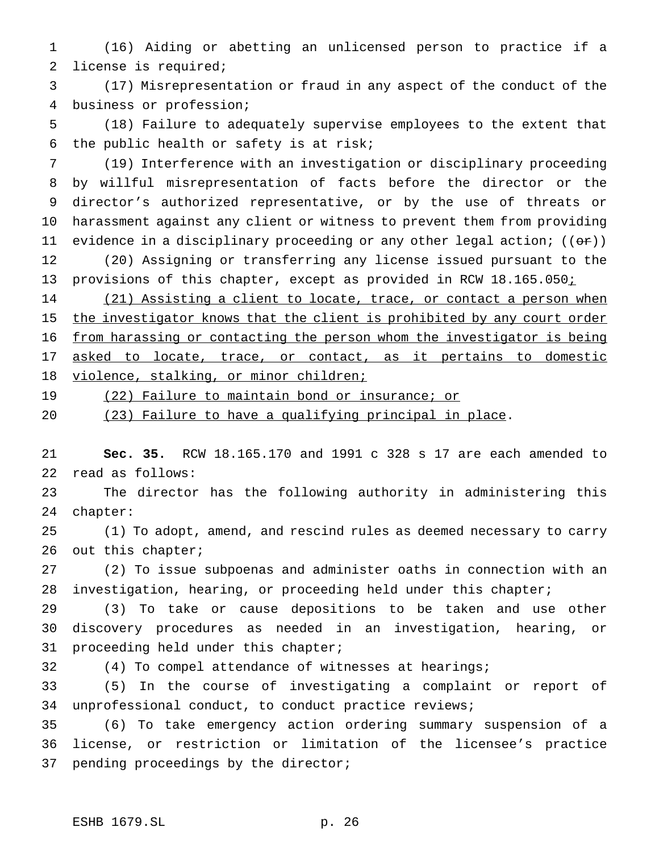(16) Aiding or abetting an unlicensed person to practice if a license is required;

 (17) Misrepresentation or fraud in any aspect of the conduct of the business or profession;

 (18) Failure to adequately supervise employees to the extent that the public health or safety is at risk;

 (19) Interference with an investigation or disciplinary proceeding by willful misrepresentation of facts before the director or the director's authorized representative, or by the use of threats or harassment against any client or witness to prevent them from providing 11 evidence in a disciplinary proceeding or any other legal action;  $((\theta \cdot \tau))$  (20) Assigning or transferring any license issued pursuant to the 13 provisions of this chapter, except as provided in RCW 18.165.050;

14 (21) Assisting a client to locate, trace, or contact a person when 15 the investigator knows that the client is prohibited by any court order from harassing or contacting the person whom the investigator is being 17 asked to locate, trace, or contact, as it pertains to domestic 18 violence, stalking, or minor children;

19 (22) Failure to maintain bond or insurance; or

(23) Failure to have a qualifying principal in place.

 **Sec. 35.** RCW 18.165.170 and 1991 c 328 s 17 are each amended to read as follows:

 The director has the following authority in administering this chapter:

 (1) To adopt, amend, and rescind rules as deemed necessary to carry 26 out this chapter;

 (2) To issue subpoenas and administer oaths in connection with an investigation, hearing, or proceeding held under this chapter;

 (3) To take or cause depositions to be taken and use other discovery procedures as needed in an investigation, hearing, or proceeding held under this chapter;

(4) To compel attendance of witnesses at hearings;

 (5) In the course of investigating a complaint or report of unprofessional conduct, to conduct practice reviews;

 (6) To take emergency action ordering summary suspension of a license, or restriction or limitation of the licensee's practice pending proceedings by the director;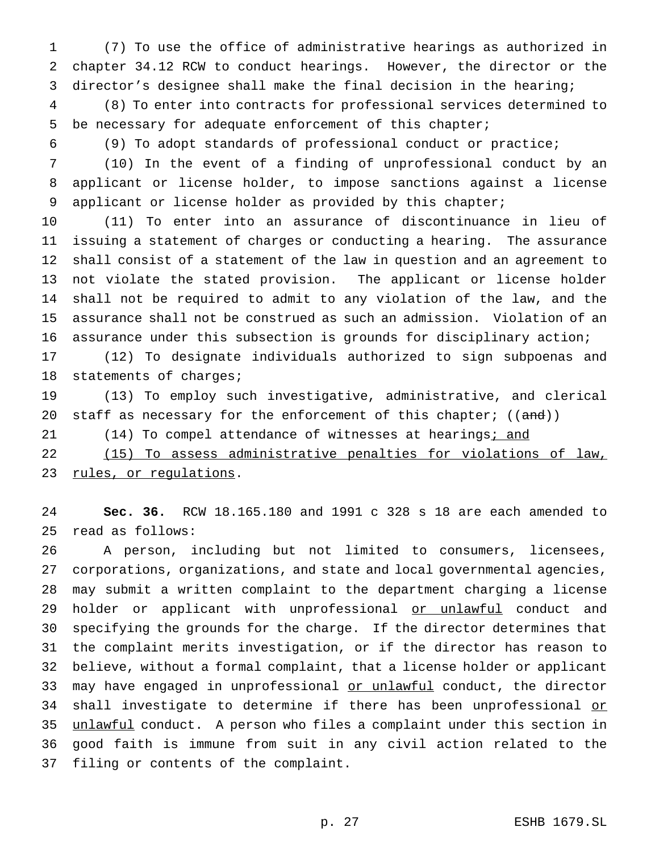(7) To use the office of administrative hearings as authorized in chapter 34.12 RCW to conduct hearings. However, the director or the director's designee shall make the final decision in the hearing;

 (8) To enter into contracts for professional services determined to be necessary for adequate enforcement of this chapter;

(9) To adopt standards of professional conduct or practice;

 (10) In the event of a finding of unprofessional conduct by an applicant or license holder, to impose sanctions against a license applicant or license holder as provided by this chapter;

 (11) To enter into an assurance of discontinuance in lieu of issuing a statement of charges or conducting a hearing. The assurance shall consist of a statement of the law in question and an agreement to not violate the stated provision. The applicant or license holder shall not be required to admit to any violation of the law, and the assurance shall not be construed as such an admission. Violation of an assurance under this subsection is grounds for disciplinary action;

 (12) To designate individuals authorized to sign subpoenas and statements of charges;

 (13) To employ such investigative, administrative, and clerical 20 staff as necessary for the enforcement of this chapter;  $((and))$ 

21 (14) To compel attendance of witnesses at hearings; and

 (15) To assess administrative penalties for violations of law, 23 rules, or regulations.

 **Sec. 36.** RCW 18.165.180 and 1991 c 328 s 18 are each amended to read as follows:

 A person, including but not limited to consumers, licensees, corporations, organizations, and state and local governmental agencies, may submit a written complaint to the department charging a license 29 holder or applicant with unprofessional or unlawful conduct and specifying the grounds for the charge. If the director determines that the complaint merits investigation, or if the director has reason to believe, without a formal complaint, that a license holder or applicant 33 may have engaged in unprofessional or unlawful conduct, the director 34 shall investigate to determine if there has been unprofessional or unlawful conduct. A person who files a complaint under this section in good faith is immune from suit in any civil action related to the filing or contents of the complaint.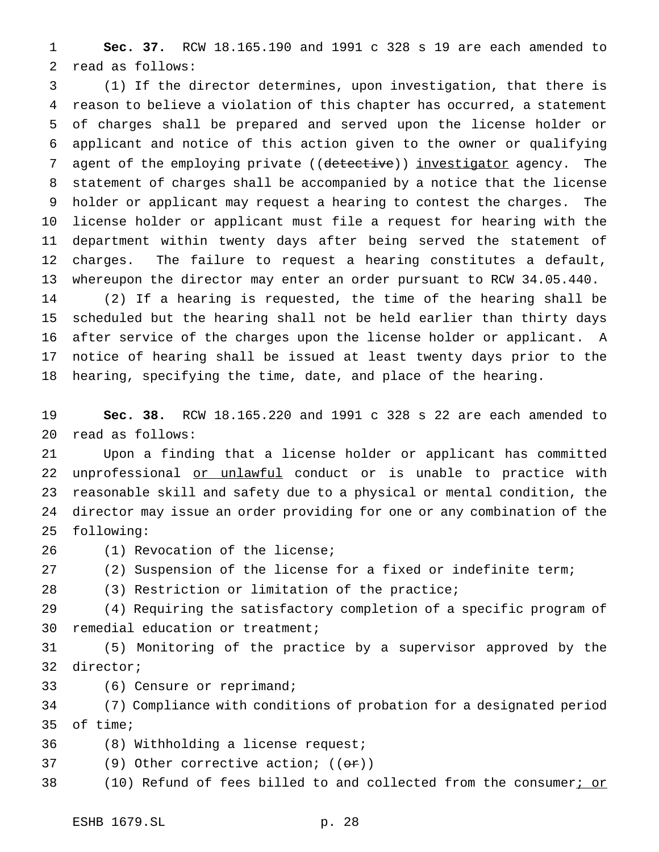**Sec. 37.** RCW 18.165.190 and 1991 c 328 s 19 are each amended to read as follows:

 (1) If the director determines, upon investigation, that there is reason to believe a violation of this chapter has occurred, a statement of charges shall be prepared and served upon the license holder or applicant and notice of this action given to the owner or qualifying 7 agent of the employing private ((detective)) investigator agency. The statement of charges shall be accompanied by a notice that the license holder or applicant may request a hearing to contest the charges. The license holder or applicant must file a request for hearing with the department within twenty days after being served the statement of charges. The failure to request a hearing constitutes a default, whereupon the director may enter an order pursuant to RCW 34.05.440.

 (2) If a hearing is requested, the time of the hearing shall be scheduled but the hearing shall not be held earlier than thirty days after service of the charges upon the license holder or applicant. A notice of hearing shall be issued at least twenty days prior to the hearing, specifying the time, date, and place of the hearing.

 **Sec. 38.** RCW 18.165.220 and 1991 c 328 s 22 are each amended to read as follows:

 Upon a finding that a license holder or applicant has committed 22 unprofessional or unlawful conduct or is unable to practice with reasonable skill and safety due to a physical or mental condition, the director may issue an order providing for one or any combination of the following:

(1) Revocation of the license;

(2) Suspension of the license for a fixed or indefinite term;

(3) Restriction or limitation of the practice;

 (4) Requiring the satisfactory completion of a specific program of remedial education or treatment;

 (5) Monitoring of the practice by a supervisor approved by the director;

(6) Censure or reprimand;

 (7) Compliance with conditions of probation for a designated period of time;

- (8) Withholding a license request;
- 37 (9) Other corrective action;  $((\theta \cdot \mathbf{r}))$
- 38 (10) Refund of fees billed to and collected from the consumer; or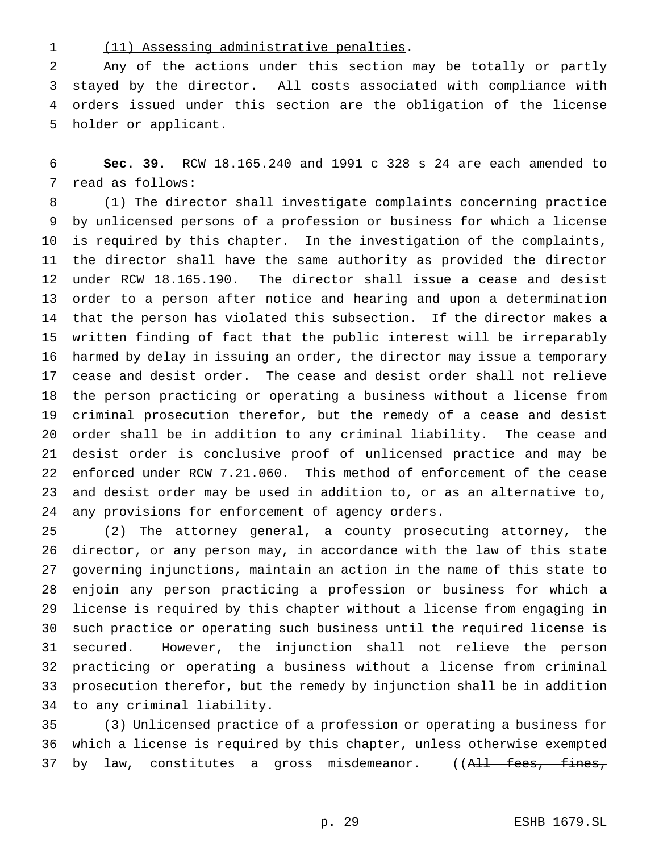(11) Assessing administrative penalties.

 Any of the actions under this section may be totally or partly stayed by the director. All costs associated with compliance with orders issued under this section are the obligation of the license holder or applicant.

 **Sec. 39.** RCW 18.165.240 and 1991 c 328 s 24 are each amended to read as follows:

 (1) The director shall investigate complaints concerning practice by unlicensed persons of a profession or business for which a license is required by this chapter. In the investigation of the complaints, the director shall have the same authority as provided the director under RCW 18.165.190. The director shall issue a cease and desist order to a person after notice and hearing and upon a determination that the person has violated this subsection. If the director makes a written finding of fact that the public interest will be irreparably harmed by delay in issuing an order, the director may issue a temporary cease and desist order. The cease and desist order shall not relieve the person practicing or operating a business without a license from criminal prosecution therefor, but the remedy of a cease and desist order shall be in addition to any criminal liability. The cease and desist order is conclusive proof of unlicensed practice and may be enforced under RCW 7.21.060. This method of enforcement of the cease and desist order may be used in addition to, or as an alternative to, any provisions for enforcement of agency orders.

 (2) The attorney general, a county prosecuting attorney, the director, or any person may, in accordance with the law of this state governing injunctions, maintain an action in the name of this state to enjoin any person practicing a profession or business for which a license is required by this chapter without a license from engaging in such practice or operating such business until the required license is secured. However, the injunction shall not relieve the person practicing or operating a business without a license from criminal prosecution therefor, but the remedy by injunction shall be in addition to any criminal liability.

 (3) Unlicensed practice of a profession or operating a business for which a license is required by this chapter, unless otherwise exempted 37 by law, constitutes a gross misdemeanor. ((A<del>ll fees, fines,</del>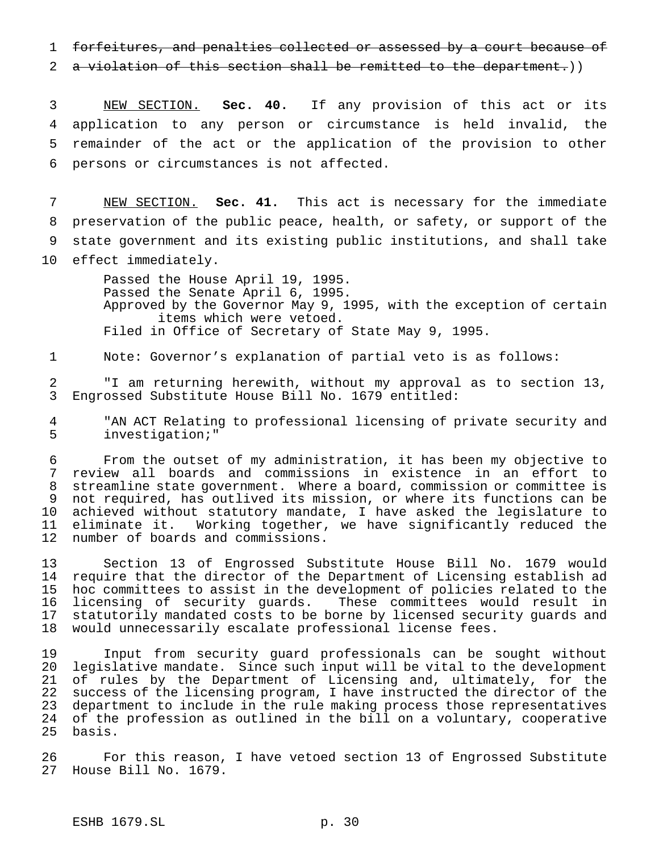1 forfeitures, and penalties collected or assessed by a court because of

2 a violation of this section shall be remitted to the department.))

 NEW SECTION. **Sec. 40.** If any provision of this act or its application to any person or circumstance is held invalid, the remainder of the act or the application of the provision to other persons or circumstances is not affected.

 NEW SECTION. **Sec. 41.** This act is necessary for the immediate preservation of the public peace, health, or safety, or support of the state government and its existing public institutions, and shall take effect immediately.

> Passed the House April 19, 1995. Passed the Senate April 6, 1995. Approved by the Governor May 9, 1995, with the exception of certain items which were vetoed. Filed in Office of Secretary of State May 9, 1995.

Note: Governor's explanation of partial veto is as follows:

 "I am returning herewith, without my approval as to section 13, Engrossed Substitute House Bill No. 1679 entitled:

 "AN ACT Relating to professional licensing of private security and investigation;"

 From the outset of my administration, it has been my objective to review all boards and commissions in existence in an effort to streamline state government. Where a board, commission or committee is not required, has outlived its mission, or where its functions can be achieved without statutory mandate, I have asked the legislature to 11 eliminate it. Working together, we have significantly reduced the<br>12 number of boards and commissions. number of boards and commissions.

 Section 13 of Engrossed Substitute House Bill No. 1679 would require that the director of the Department of Licensing establish ad hoc committees to assist in the development of policies related to the licensing of security guards. These committees would result in statutorily mandated costs to be borne by licensed security guards and would unnecessarily escalate professional license fees.

 Input from security guard professionals can be sought without legislative mandate. Since such input will be vital to the development of rules by the Department of Licensing and, ultimately, for the success of the licensing program, I have instructed the director of the department to include in the rule making process those representatives of the profession as outlined in the bill on a voluntary, cooperative basis.

 For this reason, I have vetoed section 13 of Engrossed Substitute House Bill No. 1679.